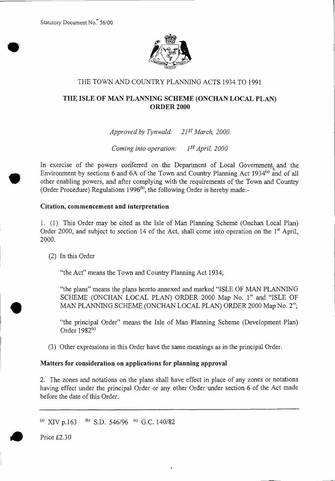Statutory Document No. 56/00



# THE TOWN AND COUNTRY PLANNING ACTS 1934 TO 1991

# **THE ISLE OF MAN PLANNING SCHEME (ONCHAN LOCAL PLAN) ORDER 2000**

*Approved by Tynwald: 21st March, 2000* 

*Coming into operation: 1st April, 2000* 

In exercise of the powers conferred on the Department of Local Government and the Environment by sections 6 and 6A of the Town and Country Planning Act 1934 $^{(a)}$  and of all other enabling powers, and after complying with the requirements of the Town and Country (Order Procedure) Regulations 1996 $^{(b)}$ , the following Order is hereby made:-

## **Citation, commencement and interpretation**

1. (1) This Order may be cited as the Isle of Man Planning Scheme (Onchan Local Plan) Order 2000, and subject to section 14 of the Act, shall come into operation on the  $1<sup>st</sup>$  April, 2000.

(2) In this Order

"the Act" means the Town and Country Planning Act 1934;

"the plans" means the plans hereto annexed and marked "ISLE OF MAN PLANNING SCHEME (ONCHAN LOCAL PLAN) ORDER 2000 Map No. 1" and "ISLE OF MAN PLANNING SCHEME (ONCHAN LOCAL PLAN) ORDER 2000 Map No. 2";

"the principal Order" means the Isle of Man Planning Scheme (Development Plan) Order 1982<sup>(c)</sup>

(3) Other expressions in this Order have the same meanings as in the principal Order.

## **Matters for consideration on applications for planning approval**

2. The zones and notations on the plans shall have effect in place of any zones or notations having effect under the principal Order or any other Order under section 6 of the Act made before the date of this Order.

(a) XIV p.163 (b) S.D. 546/96 (c) G.C. 140/82

Price £2.30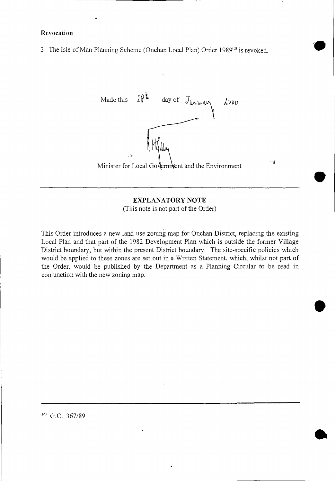## Revocation

3. The Isle of Man Planning Scheme (Onchan Local Plan) Order 1989<sup>(d)</sup> is revoked.

 $29$ Made this  $\hat{\lambda}\theta^{\mathbf{t}}$  day of  $J_{\text{infty}}$   $\hat{\lambda}$   $\hat{\nu}$ Minister for Local Government and the Environment

EXPLANATORY NOTE

(This note is not part of the Order)

This Order introduces a new land use zoning map for Onchan District, replacing the existing Local Plan and that part of the 1982 Development Plan which is outside the former Village District boundary, but within the present District boundary. The site-specific policies which would be applied to these zones are set out in a Written Statement, which, whilst not part of the Order, would be published by the Department as a Planning Circular to be read in conjunction with the new zoning map.

•

 $-\frac{1}{2}$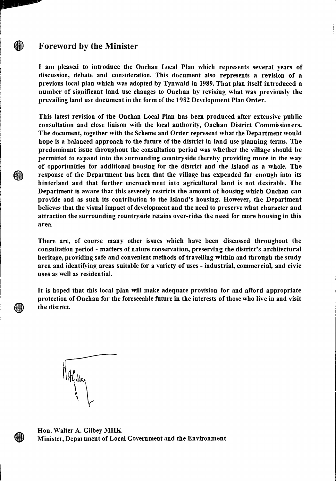# **Foreword by the Minister**

**(MII)** 

ES AN

**I am pleased to introduce the Onchan Local Plan which represents several years of discussion, debate and consideration. This document also represents a revision of a previous local plan which was adopted by Tynwald in 1989. That plan itself introduced a number of significant land use changes to Onchan by revising what was previously the prevailing land use document in the form of the 1982 Development Plan Order.** 

**This latest revision of the Onchan Local Plan has been produced after extensive public consultation and close liaison with the local authority, Onchan District Commissioners. The document, together with the Scheme and Order represent what the Department would hope is a balanced approach to the future of the district in land use planning terms. The predominant issue throughout the consultation period was whether the village should be permitted to expand into the surrounding countryside thereby providing more in the way of opportunities for additional housing for the district and the Island as a whole. The response of the Department has been that the village has expended far enough into its hinterland and that further encroachment into agricultural land is not desirable. The Department is aware that this severely restricts the amount of housing which Onchan can provide and as such its contribution to the Island's housing. However, the Department believes that the visual impact of development and the need to preserve what character and attraction the surrounding countryside retains over-rides the need for more housing in this area.** 

**There are, of course many other issues which have been discussed throughout the consultation period - matters of nature conservation, preserving the district's architectural heritage, providing safe and convenient methods of travelling within and through the study area and identifying areas suitable for a variety of uses - industrial, commercial, and civic uses as well as residential.** 

**It is hoped that this local plan will make adequate provision for and afford appropriate protection of Onchan for the foreseeable future in the interests of those who live in and visit the district.** 



**Hon. Walter A. Gilbey MHK Minister, Department of Local Government and the Environment** 

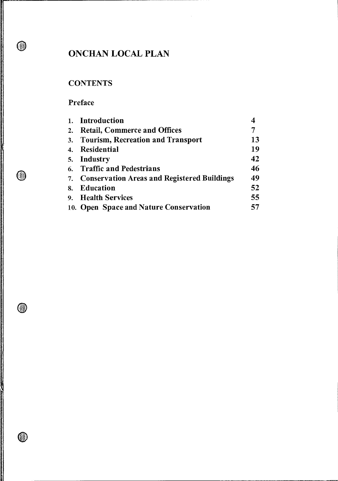# **CONTENTS**

# **Preface**

 $\bigcirc$ 

ľ

 $\bigcirc$ 

 $\bigcirc$ 

 $\bigcirc$ 

|    | Introduction                                   |    |
|----|------------------------------------------------|----|
| 2. | <b>Retail, Commerce and Offices</b>            |    |
|    | 3. Tourism, Recreation and Transport           | 13 |
|    | 4. Residential                                 | 19 |
|    | 5. Industry                                    | 42 |
| 6. | <b>Traffic and Pedestrians</b>                 | 46 |
|    | 7. Conservation Areas and Registered Buildings | 49 |
| 8. | Education                                      | 52 |
|    | 9. Health Services                             | 55 |
|    | 10. Open Space and Nature Conservation         | 57 |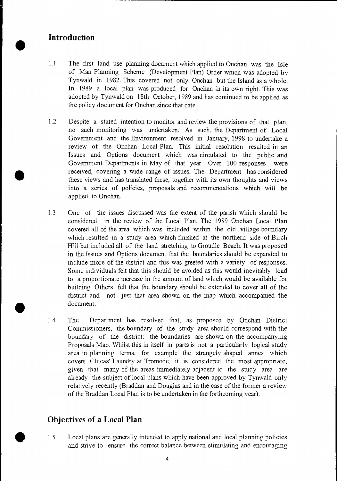# **Introduction**

- 1.1 The first land use planning document which applied to Onchan was the Isle of Man Planning Scheme (Development Plan) Order which was adopted by Tynwald in 1982. This covered not only Onchan but the Island as a whole. In 1989 a local plan was produced for Onchan in its own right. This was adopted by Tynwald on 18th October, 1989 and has continued to be applied as the policy document for Onchan since that date.
- 1.2 Despite a stated intention to monitor and review the provisions of that plan, no such monitoring was undertaken. As such, the Department of Local Government and the Environment resolved in January, 1998 to undertake a review of the Onchan Local Plan. This initial resolution resulted in an Issues and Options document which was circulated to the public and Government Departments in May of that year. Over 100 responses were received, covering a wide range of issues. The Department has considered these views and has translated these, together with its own thoughts and views into a series of policies, proposals and recommendations which will be applied to Onchan.
- 1.3 One of the issues discussed was the extent of the parish which should be considered in the review of the Local Plan. The 1989 Onchan Local Plan covered all of the area which was included within the old village boundary which resulted in a study area which finished at the northern side of Birch Hill but included all of the land stretching to Groudle Beach. It was proposed in the Issues and Options document that the boundaries should be expanded to include more of the district and this was greeted with a variety of responses. Some individuals felt that this should be avoided as this would inevitably lead to a proportionate increase in the amount of land which would be available for building. Others felt that the boundary should be extended to cover **all** of the district and not just that area shown on the map which accompanied the document.
- 1.4 The Department has resolved that, as proposed by Onchan District Commissioners, the boundary of the study area should correspond with the boundary of the district: the boundaries are shown on the accompanying Proposals Map. Whilst this in itself in parts is not a particularly logical study area in planning terms, for example the strangely shaped annex which covers Clucas' Laundry at Tromode, it is considered the most appropriate, given that many of the areas immediately adjacent to the study area are already the subject of local plans which have been approved by Tynwald only relatively recently (Braddan and Douglas and in the case of the former a review of the Braddan Local Plan is to be undertaken in the forthcoming year).

# **Objectives of a Local Plan**

1.5 Local plans are generally intended to apply national and local planning policies and strive to ensure the correct balance between stimulating and encouraging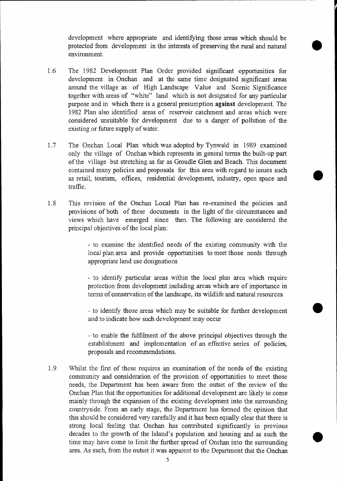development where appropriate and identifying those areas which should be protected from development in the interests of preserving the rural and natural environment.

•

- 1.6 The 1982 Development Plan Order provided significant opportunities for development in Onchan and at the same time designated significant areas around the village as of High Landscape Value and Scenic Significance together with areas of "white" land which is not designated for any particular purpose and in which there is a general presumption against development. The 1982 Plan also identified areas of reservoir catchment and areas which were considered unsuitable for development due to a danger of pollution of the existing or future supply of water.
- 1.7 The Onchan Local Plan which was adopted by Tynwald in 1989 examined only the village of Onchan which represents in general terms the built-up part of the village but stretching as far as Groudle Glen and Beach. This document contained many policies and proposals for this area with regard to issues such as retail, tourism, offices, residential development, industry, open space and traffic.
- 1.8 This revision of the Onchan Local Plan has re-examined the policies and provisions of both of these documents in the light of the circumstances and views which have emerged since then. The following are considered the principal objectives of the local plan:

- to examine the identified needs of the existing community with the local plan area and provide opportunities to meet those needs through appropriate land use designations

- to identify particular areas within the local plan area which require protection from development including areas which are of importance in terms of conservation of the landscape, its wildlife and natural resources

- to identify those areas which may be suitable for further development • and to indicate how such development may occur

- to enable the fulfilment of the above principal objectives through the establishment and implementation of an effective series of policies, proposals and recommendations.

1.9 Whilst the first of these requires an examination of the needs of the existing community and consideration of the provision of opportunities to meet those needs, the Department has been aware from the outset of the review of the Onchan Plan that the opportunities for additional development are likely to come mainly through the expansion of the existing development into the surrounding countryside. From an early stage, the Department has formed the opinion that this should be considered very carefully and it has been equally clear that there is strong local feeling that Onchan has contributed significantly in previous decades to the growth of the Island's population and housing and as such the time may have come to limit the further spread of Onchan into the surrounding area. As such, from the outset it was apparent to the Department that the Onchan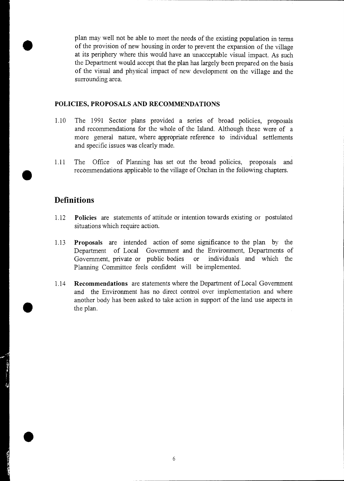plan may well not be able to meet the needs of the existing population in terms of the provision of new housing in order to prevent the expansion of the village at its periphery where this would have an unacceptable visual impact. As such the Department would accept that the plan has largely been prepared on the basis of the visual and physical impact of new development on the village and the surrounding area.

## **POLICIES, PROPOSALS AND RECOMMENDATIONS**

- 1.10 The 1991 Sector plans provided a series of broad policies, proposals and recommendations for the whole of the Island. Although these were of a more general nature, where appropriate reference to individual settlements and specific issues was clearly made.
- 1.11 The Office of Planning has set out the broad policies, proposals and recommendations applicable to the village of Onchan in the following chapters.

# **Definitions**

•

•

•

•

- 1.12 **Policies** are statements of attitude or intention towards existing or postulated situations which require action.
- 1.13 **Proposals** are intended action of some significance to the plan by the Department of Local Government and the Environment, Departments of Government, private or public bodies or individuals and which the Planning Committee feels confident will be implemented.
- 1.14 **Recommendations** are statements where the Department of Local Government and the Environment has no direct control over implementation and where another body has been asked to take action in support of the land use aspects in the plan.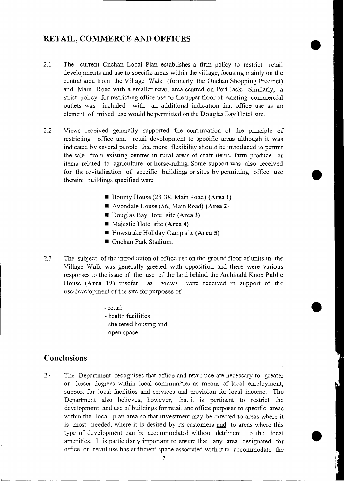# RETAIL, COMMERCE AND OFFICES

- 2.1 The current Onchan Local Plan establishes a firm policy to restrict retail developments and use to specific areas within the village, focusing mainly on the central area from the Village Walk (formerly the Onchan Shopping Precinct) and Main Road with a smaller retail area centred on Port Jack. Similarly, a strict policy for restricting office use to the upper floor of existing commercial outlets was included with an additional indication that office use as an element of mixed use would be permitted on the Douglas Bay Hotel site.
- 2.2 Views received generally supported the continuation of the principle of restricting office and retail development to specific areas although it was indicated by several people that more flexibility should be introduced to permit the sale from existing centres in rural areas of craft items, farm produce or items related to agriculture or horse-riding. Some support was also received for the revitalisation of specific buildings or sites by permitting office use therein: buildings specified were
	- Bounty House (28-38, Main Road) (Area 1)
	- Avondale House (56, Main Road) (Area 2)
	- Douglas Bay Hotel site (Area 3)
	- Majestic Hotel site (Area 4)
	- Howstrake Holiday Camp site (Area 5)
	- Onchan Park Stadium.
- 2.3 The subject of the introduction of office use on the ground floor of units in the Village Walk was generally greeted with opposition and there were various responses to the issue of the use of the land behind the Archibald Knox Public House (Area 19) insofar as views were received in support of the use/development of the site for purposes of
	- retail
	- health facilities
	- sheltered housing and
	- open space.

# Conclusions

2.4 The Department recognises that office and retail use are necessary to greater or lesser degrees within local communities as means of local employment, support for local facilities and services and provision for local income. The Department also believes, however, that it is pertinent to restrict the development and use of buildings for retail and office purposes to specific areas within the local plan area so that investment may be directed to areas where it is most needed, where it is desired by its customers and to areas where this type of development can be accommodated without detriment to the local amenities. It is particularly important to ensure that any area designated for office or retail use has sufficient space associated with it to accommodate the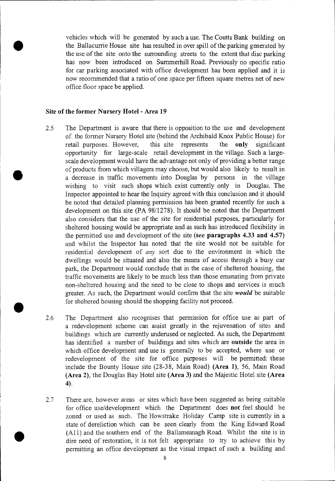vehicles which will be generated by such a use. The Coutts Bank building on the Ballacurrie House site has resulted in over spill of the parking generated by the use of the site onto the surrounding streets to the extent that disc parking has now been introduced on Summerhill Road. Previously no specific ratio for car parking associated with office development has been applied and it is now recommended that a ratio of one space per fifteen square metres net of new office floor space be applied.

#### **Site of the former Nursery Hotel - Area 19**

•

•

•

- 2.5 The Department is aware that there is opposition to the use and development of the former Nursery Hotel site (behind the Archibald Knox Public House) for retail purposes. However, this site represents the **only** significant opportunity for large-scale retail development in the village. Such a largescale development would have the advantage not only of providing a better range of products from which villagers may choose, but would also likely to result in a decrease in traffic movements into Douglas by persons in the village wishing to visit such shops which exist currently only in Douglas. The Inspector appointed to hear the Inquiry agreed with this conclusion and it should be noted that detailed planning permission has been granted recently for such a development on this site (PA 98/1278). It should be noted that the Department also considers that the use of the site for residential purposes, particularly for sheltered housing would be appropriate and as such has introduced flexibility in the permitted use and development of the site **(see paragraphs 4.33 and 4.57)**  and whilst the Inspector has noted that the site would not be suitable for residential development of *any* sort due to the environment in which the dwellings would be situated and also the means of access through a busy car park, the Department would conclude that in the case of sheltered housing, the traffic movements are likely to be much less than those emanating from private non-sheltered housing and the need to be close to shops and services is much greater. As such, the Department would confirm that the site *would* be suitable for sheltered housing should the shopping facility not proceed.
- 2.6 The Department also recognises that permission for office use as part of a redevelopment scheme can assist greatly in the rejuvenation of sites and buildings which are currently underused or neglected. As such, the Department has identified a number of buildings and sites which are **outside** the area in which office development and use is generally to be accepted, where use or redevelopment of the site for office purposes will be permitted: these include the Bounty House site (28-38, Main Road) **(Area 1),** 56, Main Road **(Area 2),** the Douglas Bay Hotel site **(Area 3)** and the Majestic Hotel site **(Area 4).**
- 2.7 There are, however areas or sites which have been suggested as being suitable for office use/development which the Department does **not** feel should be zoned or used as such. The Howstrake Holiday Camp site is currently in a state of dereliction which can be seen clearly from the King Edward Road (Al<sub>1</sub>) and the southern end of the Ballameanagh Road. Whilst the site is in dire need of restoration, it is not felt appropriate to try to achieve this by permitting an office development as the visual impact of such a building and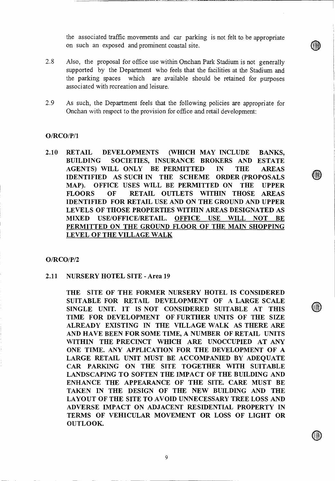the associated traffic movements and car parking is not felt to be appropriate on such an exposed and prominent coastal site.

- 2.8 Also, the proposal for office use within Onchan Park Stadium is not generally supported by the Department who feels that the facilities at the Stadium and the parking spaces which are available should be retained for purposes associated with recreation and leisure.
- 2.9 As such, the Department feels that the following policies are appropriate for Onchan with respect to the provision for office and retail development:

## 0/RCO/P/1

2.10 RETAIL DEVELOPMENTS (WHICH MAY INCLUDE BANKS, BUILDING SOCIETIES, INSURANCE BROKERS AND ESTATE AGENTS) WILL ONLY BE PERMITTED IN THE AREAS IDENTIFIED AS SUCH IN THE SCHEME ORDER (PROPOSALS MAP). OFFICE USES WILL BE PERMITTED ON THE UPPER FLOORS OF RETAIL OUTLETS WITHIN THOSE AREAS IDENTIFIED FOR RETAIL USE AND ON THE GROUND AND UPPER LEVELS OF THOSE PROPERTIES WITHIN AREAS DESIGNATED AS MIXED USE/OFFICE/RETAIL. OFFICE USE WILL NOT BE PERMITTED ON THE GROUND FLOOR OF THE MAIN SHOPPING LEVEL OF THE VILLAGE WALK

#### O/RCO/P/2

## 2.11 NURSERY HOTEL SITE - Area 19

THE SITE OF THE FORMER NURSERY HOTEL IS CONSIDERED SUITABLE FOR RETAIL DEVELOPMENT OF A LARGE SCALE SINGLE UNIT. IT IS NOT CONSIDERED SUITABLE AT THIS TIME FOR DEVELOPMENT OF FURTHER UNITS OF THE SIZE ALREADY EXISTING IN THE VILLAGE WALK AS THERE ARE AND HAVE BEEN FOR SOME TIME, A NUMBER OF RETAIL UNITS WITHIN THE PRECINCT WHICH ARE UNOCCUPIED AT ANY ONE TIME. ANY APPLICATION FOR THE DEVELOPMENT OF A LARGE RETAIL UNIT MUST BE ACCOMPANIED BY ADEQUATE CAR PARKING ON THE SITE TOGETHER WITH SUITABLE LANDSCAPING TO SOFTEN THE IMPACT OF THE BUILDING AND ENHANCE THE APPEARANCE OF THE SITE. CARE MUST BE TAKEN IN THE DESIGN OF THE NEW BUILDING AND THE LAYOUT OF THE SITE TO AVOID UNNECESSARY TREE LOSS AND ADVERSE IMPACT ON ADJACENT RESIDENTIAL PROPERTY IN TERMS OF VEHICULAR MOVEMENT OR LOSS OF LIGHT OR OUTLOOK.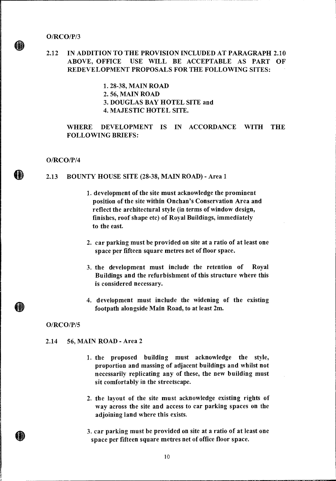#### 0/RCO/P/3

# 2.12 IN ADDITION TO THE PROVISION INCLUDED AT PARAGRAPH 2.10 ABOVE, OFFICE USE WILL BE ACCEPTABLE AS PART OF REDEVELOPMENT PROPOSALS FOR THE FOLLOWING SITES:

1.28-38, MAIN ROAD 2. 56, MAIN ROAD 3. DOUGLAS BAY HOTEL SITE and 4. MAJESTIC HOTEL SITE.

WHERE DEVELOPMENT IS IN ACCORDANCE WITH THE FOLLOWING BRIEFS:

#### 0/RCO/P/4

#### 2.13 BOUNTY HOUSE SITE (28-38, MAIN ROAD) - Area 1

- 1. development of the site must acknowledge the prominent position of the site within Onchan's Conservation Area and reflect the architectural style (in terms of window design, finishes, roof shape etc) of Royal Buildings, immediately to the east.
- 2. car parking must be provided on site at a ratio of at least one space per fifteen square metres net of floor space.
- 3. the development must include the retention of Royal Buildings and the refurbishment of this structure where this is considered necessary.
- 4. development must include the widening of the existing footpath alongside Main Road, to at least 2m.

#### 0/RCO/P/5

#### 2.14 56, MAIN ROAD - Area 2

- 1. the proposed building must acknowledge the style, proportion and massing of adjacent buildings and whilst not necessarily replicating any of these, the new building must sit comfortably in the streetscape.
- 2. the layout of the site must acknowledge existing rights of way across the site and access to car parking spaces on the adjoining land where this exists.
- 3. car parking must be provided on site at a ratio of at least one space per fifteen square metres net of office floor space.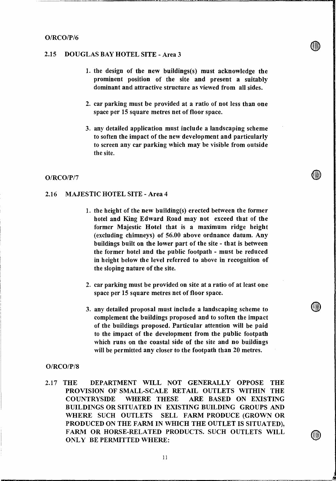#### **0/RCO/P/6**

#### **2.15 DOUGLAS BAY HOTEL SITE - Area 3**

- **1. the design of the new buildings(s) must acknowledge the prominent position of the site and present a suitably dominant and attractive structure as viewed from all sides.**
- **2. car parking must be provided at a ratio of not less than one space per 15 square metres net of floor space.**
- **3. any detailed application must include a landscaping scheme to soften the impact of the new development and particularly to screen any car parking which may be visible from outside the site.**

#### **0/RCO/P/7**

#### **2.16 MAJESTIC HOTEL SITE - Area 4**

- **1. the height of the new building(s) erected between the former hotel and King Edward Road may not exceed that of the former Majestic Hotel that is a maximum ridge height (excluding chimneys) of 56.00 above ordnance datum. Any buildings built on the lower part of the site - that is between the former hotel and the public footpath - must be reduced in height below the level referred to above in recognition of the sloping nature of the site.**
- **2. car parking must be provided on site at a ratio of at least one space per 15 square metres net of floor space.**
- **3. any detailed proposal must include a landscaping scheme to complement the buildings proposed and to soften the impact of the buildings proposed. Particular attention will be paid to the impact of the development from the public footpath which runs on the coastal side of the site and no buildings will be permitted any closer to the footpath than 20 metres.**

#### **O/RCO/P/8**

**2.17 THE DEPARTMENT WILL NOT GENERALLY OPPOSE THE PROVISION OF SMALL-SCALE RETAIL OUTLETS WITHIN THE COUNTRYSIDE WHERE THESE ARE BASED ON EXISTING BUILDINGS OR SITUATED IN EXISTING BUILDING GROUPS AND WHERE SUCH OUTLETS SELL FARM PRODUCE (GROWN OR PRODUCED ON THE FARM IN WHICH THE OUTLET IS SITUATED), FARM OR HORSE-RELATED PRODUCTS. SUCH OUTLETS WILL ONLY BE PERMITTED WHERE:**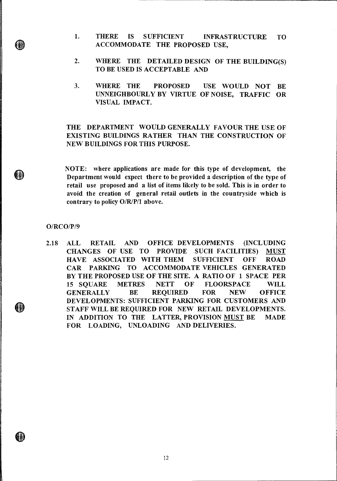- 1. THERE IS SUFFICIENT INFRASTRUCTURE TO ACCOMMODATE THE PROPOSED USE,
- 2. WHERE THE DETAILED DESIGN OF THE BUILDING(S) TO BE USED IS ACCEPTABLE AND
- 3. WHERE THE PROPOSED USE WOULD NOT BE UNNEIGHBOURLY BY VIRTUE OF NOISE, TRAFFIC OR VISUAL IMPACT.

THE DEPARTMENT WOULD GENERALLY FAVOUR THE USE OF EXISTING BUILDINGS RATHER THAN THE CONSTRUCTION OF NEW BUILDINGS FOR THIS PURPOSE.

NOTE: where applications are made for this type of development, the Department would expect there to be provided a description of the type of retail use proposed and a list of items likely to be sold. This is in order to avoid the creation of general retail outlets in the countryside which is contrary to policy 0/R/P/1 above.

0/RCO/P/9

2.18 ALL RETAIL AND OFFICE DEVELOPMENTS (INCLUDING CHANGES OF USE TO PROVIDE SUCH FACILITIES) MUST HAVE ASSOCIATED WITH THEM SUFFICIENT OFF ROAD CAR PARKING TO ACCOMMODATE VEHICLES GENERATED BY THE PROPOSED USE OF THE SITE. A RATIO OF 1 SPACE PER 15 SQUARE METRES NETT OF FLOORSPACE WILL GENERALLY BE REQUIRED FOR NEW OFFICE DEVELOPMENTS: SUFFICIENT PARKING FOR CUSTOMERS AND STAFF WILL BE REQUIRED FOR NEW RETAIL DEVELOPMENTS. IN ADDITION TO THE LATTER, PROVISION MUST BE MADE FOR LOADING, UNLOADING AND DELIVERIES.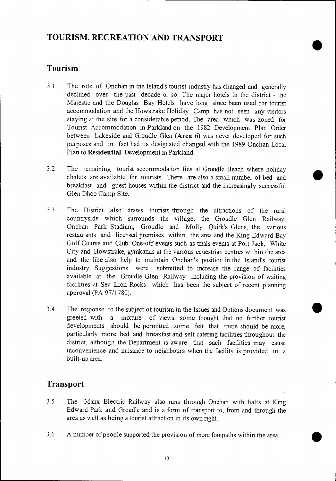# **TOURISM, RECREATION AND TRANSPORT**

# **Tourism**

- 3.1 The role of Onchan in the Island's tourist industry has changed and generally declined over the past decade or so. The major hotels in the district - the Majestic and the Douglas Bay Hotels have long since been used for tourist accommodation and the Howstrake Holiday Camp has not seen any visitors staying at the site for a considerable period. The area which was zoned for Tourist Accommodation in Parkland on the 1982 Development Plan Order between Lakeside and Groudle Glen **(Area 6)** was never developed for such purposes and in fact had its designated changed with the 1989 Onchan Local Plan to **Residential** Development in Parkland.
- 3.2 The remaining tourist accommodation lies at Groudle Beach where holiday chalets are available for tourists. There are also a small number of bed and breakfast and guest houses within the district and the increasingly successful Glen Dhoo Camp Site.
- 3.3 The District also draws tourists through the attractions of the rural countryside which surrounds the village, the Groudle Glen Railway, Onchan Park Stadium, Groudle and Molly Quirk's Glens, the various restaurants and licensed premises within the area and the King Edward Bay Golf Course and Club. One-off events such as trials events at Port Jack, White City and Howstrake, gymkanas at the various equestrian centres within the area and the like also help to maintain Onchan's position in the Island's tourist industry. Suggestions were submitted to increase the range of facilities available at the Groudle Glen Railway including the provision of waiting facilities at Sea Lion Rocks which has been the subject of recent planning approval (PA 97/1780).
- 3.4 The response to the subject of tourism in the Issues and Options document was greeted with a mixture of views: some thought that no further tourist developments should be permitted some felt that there should be more, particularly more bed and breakfast and self catering facilities throughout the district, although the Department is aware that such facilities may cause inconvenience and nuisance to neighbours when the facility is provided in a built-up area.

# **Transport**

- 3.5 The Manx Electric Railway also runs through Onchan with halts at King Edward Park and Groudle and is a form of transport to, from and through the area as well as being a tourist attraction in its own right.
- 3.6 A number of people supported the provision of more footpaths within the area.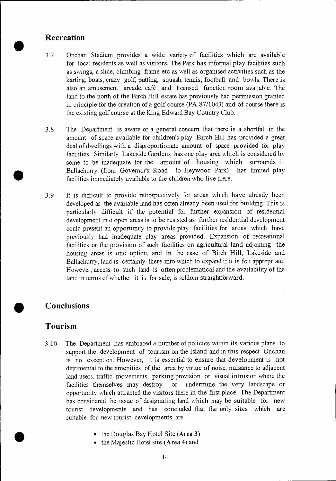# **Recreation**

O

- 3.7 Onchan Stadium provides a wide variety of facilities which are available for local residents as well as visitors. The Park has informal play facilities such as swings, a slide, climbing frame etc as well as organised activities such as the karting, boats, crazy golf, putting, squash, tennis, football and bowls. There is also an amusement arcade, café and licensed function room available. The land to the north of the Birch Hill estate has previously had permission granted in principle for the creation of a golf course (PA 87/1043) and of course there is the existing golf course at the King Edward Bay Country Club.
- 3.8 The Department is aware of a general concern that there is a shortfall in the amount of space available for children's play. Birch Hill has provided a great deal of dwellings with a disproportionate amount of space provided for play facilities. Similarly Lakeside Gardens has one play area which is considered by some to be inadequate for the amount of housing which surrounds it. Ballachurry (from Governor's Road to Heywood Park) has limited play facilities immediately available to the children who live there.
- 3.9 It is difficult to provide retrospectively for areas which have already been developed as the available land has often already been used for building. This is particularly difficult if the potential for further expansion of residential development into open areas is to be resisted as further residential development could present an opportunity to provide play facilities for areas which have previously had inadequate play areas provided. Expansion of recreational facilities or the provision of such facilities on agricultural land adjoining the housing areas is one option, and in the case of Birch Hill, Lakeside and Ballachurry, land is certainly there into which to expand if it is felt appropriate. However, access to such land is often problematical and the availability of the land in terms of whether it is for sale, is seldom straightforward.

# **• Conclusions**

# **Tourism**

•

- 3.10 The Department has embraced a number of policies within its various plans to support the development of tourism on the Island and in this respect Onchan is no exception. However, it is essential to ensure that development is not detrimental to the amenities of the area by virtue of noise, nuisance to adjacent land users, traffic movements, parking provision or visual intrusion where the facilities themselves may destroy or undermine the very landscape or opportunity which attracted the visitors there in the first place. The Department has considered the issue of designating land which may be suitable for new tourist developments and has concluded that the only sites which are suitable for new tourist developments are:
	- the Douglas Bay Hotel Site (Area 3)
	- the Majestic Hotel site (Area 4) and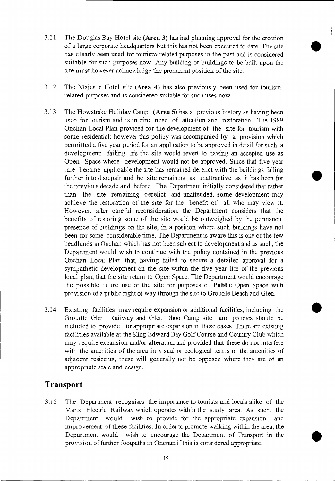- 3.11 The Douglas Bay Hotel site **(Area 3)** has had planning approval for the erection of a large corporate headquarters but this has not been executed to date. The site has clearly been used for tourism-related purposes in the past and is considered suitable for such purposes now. Any building or buildings to be built upon the site must however acknowledge the prominent position of the site.
- 3.12 The Majestic Hotel site **(Area 4)** has also previously been used for tourismrelated purposes and is considered suitable for such uses now.
- 3.13 The Howstrake Holiday Camp **(Area 5)** has a previous history as having been used for tourism and is in dire need of attention and restoration. The 1989 Onchan Local Plan provided for the development of the site for tourism with some residential: however this policy was accompanied by a provision which permitted a five year period for an application to be approved in detail for such a development: failing this the site would revert to having an accepted use as Open Space where development would not be approved. Since that five year rule became applicable the site has remained derelict with the buildings falling further into disrepair and the site remaining as unattractive as it has been for the previous decade and before. The Department initially considered that rather than the site remaining derelict and unattended, **some** development may achieve the restoration of the site for the benefit of all who may view it. However, after careful reconsideration, the Department considers that the benefits of restoring some of the site would be outweighed by the permanent presence of buildings on the site, in a position where such buildings have not been for some considerable time. The Department is aware this is one of the few headlands in Onchan which has not been subject to development and as such, the Department would wish to continue with the policy contained in the previous Onchan Local Plan that, having failed to secure a detailed approval for a sympathetic development on the site within the five year life of the previous local plan, that the site return to Open Space. The Department would encourage the possible future use of the site for purposes of **Public** Open Space with provision of a public right of way through the site to Groudle Beach and Glen.
- 3.14 Existing facilities may require expansion or additional facilities, including the Groudle Glen Railway and Glen Dhoo Camp site and policies should be included to provide for appropriate expansion in these cases. There are existing facilities available at the King Edward Bay Golf Course and Country Club which may require expansion and/or alteration and provided that these do not interfere with the amenities of the area in visual or ecological terms or the amenities of adjacent residents, these will generally not be opposed where they are of an appropriate scale and design.

# **Transport**

3.15 The Department recognises the importance to tourists and locals alike of the Manx Electric Railway which operates within the study area. As such, the Department would wish to provide for the appropriate expansion and improvement of these facilities. **In** order to promote walking within the area, the Department would wish to encourage the Department of Transport in the provision of further footpaths in Onchan if this is considered appropriate.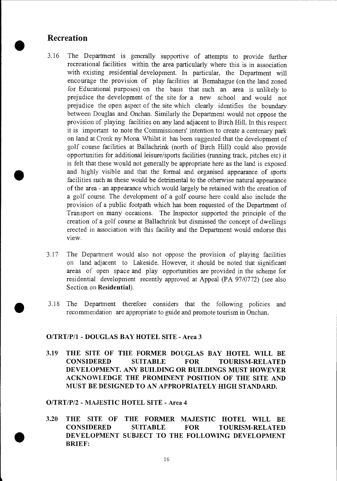# **Recreation**

- 3.16 The Department is generally supportive of attempts to provide further recreational facilities within the area particularly where this is in association with existing residential development. In particular, the Department will encourage the provision of play facilities at Bemahague (on the land zoned for Educational purposes) on the basis that such an area is unlikely to prejudice the development of the site for a new school and would not prejudice the open aspect of the site which clearly identifies the boundary between Douglas and Onchan. Similarly the Department would not oppose the provision of playing facilities on any land adjacent to Birch Hill. In this respect it is important to note the Commissioners' intention to create a centenary park on land at Cronk ny Mona. Whilst it has been suggested that the development of golf course facilities at Ballachrink (north of Birch Hill) could also provide opportunities for additional leisure/sports facilities (running track, pitches etc) it is felt that these would not generally be appropriate here as the land is exposed and highly visible and that the formal and organised appearance of sports facilities such as these would be detrimental to the otherwise natural appearance of the area - an appearance which would largely be retained with the creation of a golf course. The development of a golf course here could also include the provision of a public footpath which has been requested of the Department of Transport on many occasions. The Inspector supported the principle of the creation of a golf course at Ballachrink but dismissed the concept of dwellings erected in association with this facility and the Department would endorse this view.
- 3.17 The Department would also not oppose the provision of playing facilities on land adjacent to Lakeside. However, it should be noted that significant areas of open space and play opportunities are provided in the scheme for residential development recently approved at Appeal (PA 97/0772) (see also Section on **Residential).**
- 3.18 The Department therefore considers that the following policies and recommendation are appropriate to guide and promote tourism in Onchan.

## **0/TRT/P/1 - DOUGLAS BAY HOTEL SITE - Area 3**

**3.19 THE SITE OF THE FORMER DOUGLAS BAY HOTEL WILL BE CONSIDERED SUITABLE FOR TOURISM-RELATED DEVELOPMENT. ANY BUILDING OR BUILDINGS MUST HOWEVER ACKNOWLEDGE THE PROMINENT POSITION OF THE SITE AND MUST BE DESIGNED TO AN APPROPRIATELY HIGH STANDARD.** 

## **0/TRT/P/2 - MAJESTIC HOTEL SITE - Area 4**

**3.20 THE SITE OF THE FORMER MAJESTIC HOTEL WILL BE CONSIDERED SUITABLE FOR TOURISM-RELATED DEVELOPMENT SUBJECT TO THE FOLLOWING DEVELOPMENT BRIEF:**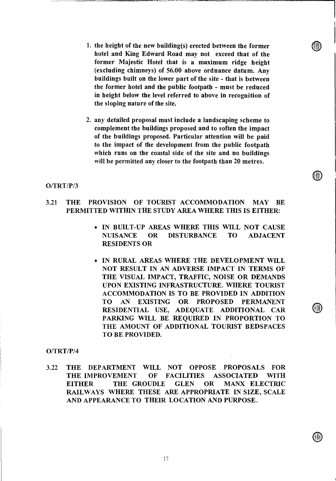- **1. the height of the new building(s) erected between the former hotel and King Edward Road may not exceed that of the former Majestic Hotel that is a maximum ridge height (excluding chimneys) of 56.00 above ordnance datum. Any buildings built on the lower part of the site - that is between the former hotel and the public footpath - must be reduced in height below the level referred to above in recognition of the sloping nature of the site.**
- **2. any detailed proposal must include a landscaping scheme to complement the buildings proposed and to soften the impact of the buildings proposed. Particular attention will be paid to the impact of the development from the public footpath which runs on the coastal side of the site and no buildings will be permitted any closer to the footpath than 20 metres.**

#### **0/TRT/P/3**

# **3.21 THE PROVISION OF TOURIST ACCOMMODATION MAY BE PERMITTED WITHIN THE STUDY AREA WHERE THIS IS EITHER:**

- **• IN BUILT-UP AREAS WHERE THIS WILL NOT CAUSE NUISANCE OR DISTURBANCE TO ADJACENT RESIDENTS OR**
- **o IN RURAL AREAS WHERE THE DEVELOPMENT WILL NOT RESULT IN AN ADVERSE IMPACT IN TERMS OF THE VISUAL IMPACT, TRAFFIC, NOISE OR DEMANDS UPON EXISTING INFRASTRUCTURE. WHERE TOURIST ACCOMMODATION IS TO BE PROVIDED IN ADDITION TO AN EXISTING OR PROPOSED PERMANENT RESIDENTIAL USE, ADEQUATE ADDITIONAL CAR PARKING WILL BE REQUIRED IN PROPORTION TO THE AMOUNT OF ADDITIONAL TOURIST BEDSPACES TO BE PROVIDED.**

#### **0/TRT/P/4**

**3.22 THE DEPARTMENT WILL NOT OPPOSE PROPOSALS FOR THE IMPROVEMENT OF FACILITIES ASSOCIATED WITH EITHER THE GROUDLE GLEN OR MANX ELECTRIC RAILWAYS WHERE THESE ARE APPROPRIATE IN SIZE, SCALE AND APPEARANCE TO THEIR LOCATION AND PURPOSE.**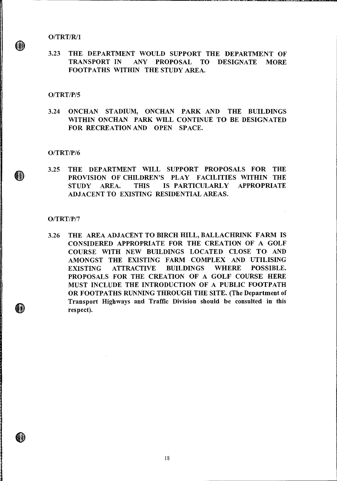0/TRT/R/1

3.23 THE DEPARTMENT WOULD SUPPORT THE DEPARTMENT OF TRANSPORT IN ANY PROPOSAL TO DESIGNATE MORE FOOTPATHS WITHIN THE STUDY AREA.

#### 0/TRT/P/5

3.24 ONCHAN STADIUM, ONCHAN PARK AND THE BUILDINGS WITHIN ONCHAN PARK WILL CONTINUE TO BE DESIGNATED FOR RECREATION AND OPEN SPACE.

#### 0/TRT/P/6

3.25 THE DEPARTMENT WILL SUPPORT PROPOSALS FOR THE PROVISION OF CHILDREN'S PLAY FACILITIES WITHIN THE STUDY AREA. THIS IS PARTICULARLY APPROPRIATE ADJACENT TO EXISTING RESIDENTIAL AREAS.

#### 0/TRT/P/7

3.26 THE AREA ADJACENT TO BIRCH HILL, BALLACHRINK FARM IS CONSIDERED APPROPRIATE FOR THE CREATION OF A GOLF COURSE WITH NEW BUILDINGS LOCATED CLOSE TO AND AMONGST THE EXISTING FARM COMPLEX AND UTILISING EXISTING ATTRACTIVE BUILDINGS WHERE POSSIBLE. PROPOSALS FOR THE CREATION OF A GOLF COURSE HERE MUST INCLUDE THE INTRODUCTION OF A PUBLIC FOOTPATH OR FOOTPATHS RUNNING THROUGH THE SITE. (The Department of Transport Highways and Traffic Division should be consulted in this respect).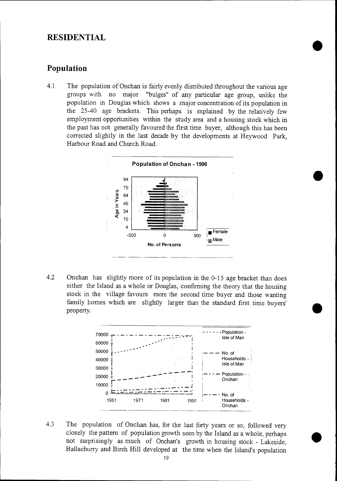# **RESIDENTIAL**

# **Population**

4.1 The population of Onchan is fairly evenly distributed throughout the various age groups with no major "bulges" of any particular age group, unlike the population in Douglas which shows a major concentration of its population in the 25-40 age brackets. This perhaps is explained by the relatively few employment opportunities within the study area and a housing stock which in the past has not generally favoured the first time buyer, although this has been corrected slightly in the last decade by the developments at Heywood Park, Harbour Road and Church Road.

•



4.2 Onchan has slightly more of its population in the 0-15 age bracket than does either the Island as a whole or Douglas, confirming the theory that the housing stock in the village favours more the second time buyer and those wanting family homes which are slightly larger than the standard first time buyers stock in the village favours more the second time buyer and those wanting family homes which are slightly larger than the standard first time buyers' property.



4.3 The population of Onchan has, for the last forty years or so, followed very closely the pattern of population growth seen by the Island as a whole, perhaps not surprisingly as much of Onchan's growth in housing stock - Lakeside, Ballachurry and Birch Hill developed at the time when the Island's population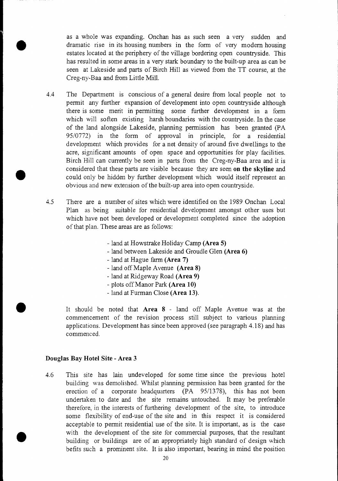as a whole was expanding. Onchan has as such seen a very sudden and dramatic rise in its housing numbers in the form of very modern housing estates located at the periphery of the village bordering open countryside. This has resulted in some areas in a very stark boundary to the built-up area as can be seen at Lakeside and parts of Birch Hill as viewed from the TT course, at the Creg-ny-Baa and from Little Mill.

- 4.4 The Department is conscious of a general desire from local people not to permit any further expansion of development into open countryside although there is some merit in permitting some further development in a form which will soften existing harsh boundaries with the countryside. In the case of the land alongside Lakeside, planning permission has been granted (PA 95/0772) in the form of approval in principle, for a residential development which provides for a net density of around five dwellings to the acre, significant amounts of open space and opportunities for play facilities. Birch Hill can currently be seen in parts from the Creg-ny-Baa area and it is considered that these parts are visible because they are seen on the skyline and could only be hidden by further development which would itself represent an obvious and new extension of the built-up area into open countryside.
- 4.5 There are a number of sites which were identified on the 1989 Onchan Local Plan as being suitable for residential development amongst other uses but which have not been developed or development completed since the adoption of that plan. These areas are as follows:
	- land at Howstrake Holiday Camp (Area 5)
	- land between Lakeside and Groudle Glen (Area 6)
	- land at Hague farm (Area 7)
	- land off Maple Avenue (Area 8)
	- land at Ridgeway Road (Area 9)
	- plots off Manor Park (Area 10)
	- land at Furman Close (Area 13).

It should be noted that Area 8 - land off Maple Avenue was at the commencement of the revision process still subject to various planning applications. Development has since been approved (see paragraph 4.18) and has commenced.

### Douglas Bay Hotel Site - Area 3

4.6 This site has lain undeveloped for some time since the previous hotel building was demolished. Whilst planning permission has been granted for the erection of a corporate headquarters (PA 95/1378), this has not been undertaken to date and the site remains untouched. It may be preferable therefore, in the interests of furthering development of the site, to introduce some flexibility of end-use of the site and in this respect it is considered acceptable to permit residential use of the site. It is important, as is the case with the development of the site for commercial purposes, that the resultant building or buildings are of an appropriately high standard of design which befits such a prominent site. It is also important, bearing in mind the position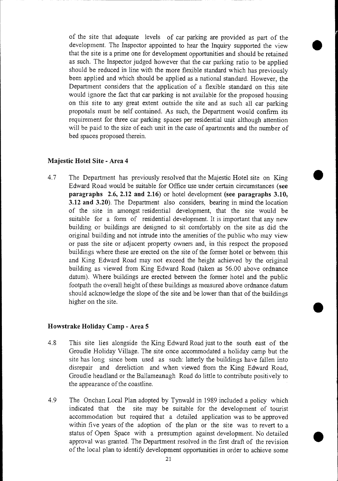of the site that adequate levels of car parking are provided as part of the development. The Inspector appointed to hear the Inquiry supported the view that the site is a prime one for development opportunities and should be retained as such. The Inspector judged however that the car parking ratio to be applied should be reduced in line with the more flexible standard which has previously been applied and which should be applied as a national standard. However, the Department considers that the application of a flexible standard on this site would ignore the fact that car parking is not available for the proposed housing on this site to any great extent outside the site and as such all car parking proposals must be self contained. As such, the Department would confirm its requirement for three car parking spaces per residential unit although attention will be paid to the size of each unit in the case of apartments and the number of bed spaces proposed therein.

## **Majestic Hotel Site - Area 4**

4.7 The Department has previously resolved that the Majestic Hotel site on King Edward Road would be suitable for Office use under certain circumstances **(see paragraphs 2.6, 2.12 and 2.16)** or hotel development **(see paragraphs 3.10, 3.12 and 3.20).** The Department also considers, bearing in mind the location of the site in amongst residential development, that the site would be suitable for a form of residential development. It is important that any new building or buildings are designed to sit comfortably on the site as did the original building and not intrude into the amenities of the public who may view or pass the site or adjacent property owners and, in this respect the proposed buildings where these are erected on the site of the former hotel or between this and King Edward Road may not exceed the height achieved by the original building as viewed from King Edward Road (taken as 56.00 above ordnance datum). Where buildings are erected between the former hotel and the public footpath the overall height of these buildings as measured above ordnance datum should acknowledge the slope of the site and be lower than that of the buildings higher on the site.

## **Howstrake Holiday Camp - Area 5**

- 4.8 This site lies alongside the King Edward Road just to the south east of the Groudle Holiday Village. The site once accommodated a holiday camp but the site has long since been used as such: latterly the buildings have fallen into disrepair and dereliction and when viewed from the King Edward Road, Groudle headland or the Ballameanagh Road do little to contribute positively to the appearance of the coastline.
- 4.9 The Onchan Local Plan adopted by Tynwald in 1989 included a policy which indicated that the site may be suitable for the development of tourist accommodation but required that a detailed application was to be approved within five years of the adoption of the plan or the site was to revert to a status of Open Space with a presumption against development. No detailed approval was granted. The Department resolved in the first draft of the revision of the local plan to identify development opportunities in order to achieve some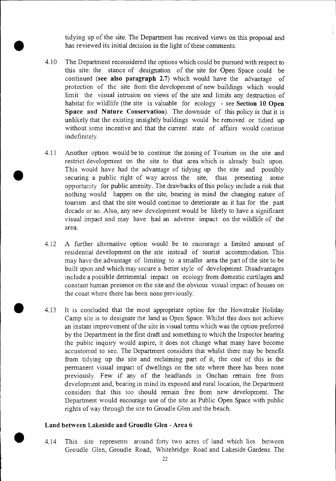tidying up of the site. The Department has received views on this proposal and has reviewed its initial decision in the light of these comments.

- 4.10 The Department reconsidered the options which could be pursued with respect to this site: the stance of designation of the site for Open Space could be continued (see **also paragraph 2.7)** which would have the advantage of protection of the site from the development of new buildings which would limit the visual intrusion on views of the site and limits any destruction of habitat for wildlife (the site is valuable for ecology - see **Section 10 Open Space and Nature Conservation).** The downside of this policy is that it is unlikely that the existing unsightly buildings would be removed or tidied up without some incentive and that the current state of affairs would continue indefinitely.
- 4.11 Another option would be to continue the zoning of Tourism on the site and restrict development on the site to that area which is already built upon. This would have had the advantage of tidying up the site and possibly securing a public right of way across the site, thus presenting some opportunity for public amenity. The drawbacks of this policy include a risk that nothing would happen on the site, bearing in mind the changing nature of tourism and that the site would continue to deteriorate as it has for the past decade or so. Also, any new development would be likely to have a significant visual impact and may have had an adverse impact on the wildlife of the area.
- 4.12 A further alternative option would be to encourage a limited amount of residential development on the site instead of tourist accommodation. This may have the advantage of limiting to a smaller area the part of the site to be built upon and which may secure a better style of development. Disadvantages include a possible detrimental impact on ecology from domestic curtilages and constant human presence on the site and the obvious visual impact of houses on the coast where there has been none previously.
- 4.13 It is concluded that the most appropriate option for the Howstrake Holiday Camp site is to designate the land as Open Space. Whilst this does not achieve an instant improvement of the site in visual terms which was the option preferred by the Department in the first draft and something to which the Inspector hearing the public inquiry would aspire, it does not change what many have become accustomed to see. The Department considers that whilst there may be benefit from tidying up the site and reclaiming part of it, the cost of this is the permanent visual impact of dwellings on the site where there has been none previously. Few if any of the headlands in Onchan remain free from development and, bearing in mind its exposed and rural location, the Department considers that this too should remain free from new development. The Department would encourage use of the site as Public Open Space with public rights of way through the site to Groudle Glen and the beach.

#### **Land between Lakeside and Groudle Glen - Area 6**

4.14 This site represents around forty two acres of land which lies between Groudle Glen, Groudle Road, Whitebridge Road and Lakeside Gardens. The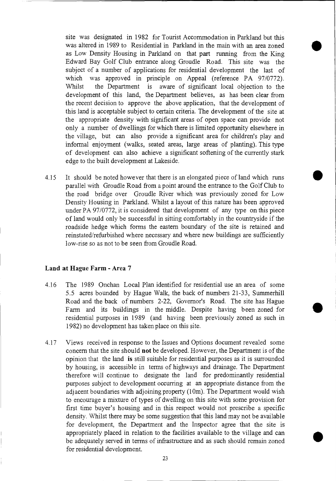site was designated in 1982 for Tourist Accommodation in Parkland but this was altered in 1989 to Residential in Parkland in the main with an area zoned as Low Density Housing in Parkland on that part running from the King Edward Bay Golf Club entrance along Groudle Road. This site was the subject of a number of applications for residential development the last of which was approved in principle on Appeal (reference PA 97/0772). Whilst the Department is aware of significant local objection to the development of this land, the Department believes, as has been clear from the recent decision to approve the above application, that the development of this land is acceptable subject to certain criteria. The development of the site at the appropriate density with significant areas of open space can provide not only a number of dwellings for which there is limited opportunity elsewhere in the village, but can also provide a significant area for children's play and informal enjoyment (walks, seated areas, large areas of planting). This type of development can also achieve a significant softening of the currently stark edge to the built development at Lakeside.

4.15 It should be noted however that there is an elongated piece of land which runs parallel with Groudle Road from a point around the entrance to the Golf Club to the road bridge over Groudle River which was previously zoned for Low Density Housing in Parkland. Whilst a layout of this nature has been approved under PA 97/0772, it is considered that development of any type on this piece of land would only be successful in sitting comfortably in the countryside if the roadside hedge which forms the eastern boundary of the site is retained and reinstated/refurbished where necessary and where new buildings are sufficiently low-rise so as not to be seen from Groudle Road.

#### **Land at Hague Farm - Area 7**

- 4.16 The 1989 Onchan Local Plan identified for residential use an area of some 5.5 acres bounded by Hague Walk, the back of numbers 21-33, Summerhill Road and the back of numbers 2-22, Governor's Road. The site has Hague Farm and its buildings in the middle. Despite having been zoned for residential purposes in 1989 (and having been previously zoned as such in 1982) no development has taken place on this site.
- 4.17 Views received in response to the Issues and Options document revealed some concern that the site should **not** be developed. However, the Department is of the opinion that the land **is** still suitable for residential purposes as it is surrounded by housing, is accessible in terms of highways and drainage. The Department therefore will continue to designate the land for predominantly residential purposes subject to development occurring at an appropriate distance from the adjacent boundaries with adjoining property (10m). The Department would wish to encourage a mixture of types of dwelling on this site with some provision for first time buyer's housing and in this respect would not prescribe a specific density. Whilst there may be some suggestion that this land may not be available for development, the Department and the Inspector agree that the site is appropriately placed in relation to the facilities available to the village and can be adequately served in terms of infrastructure and as such should remain zoned for residential development.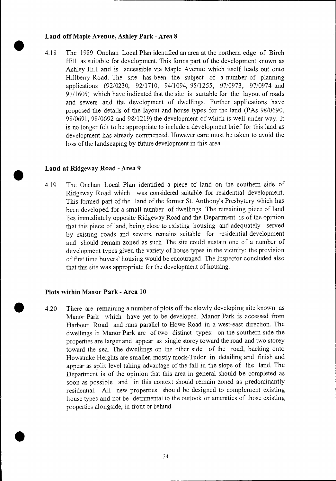# **Land off Maple Avenue, Ashley Park - Area 8**

S 4.18 The 1989 Onchan Local Plan identified an area at the northern edge of Birch Hill as suitable for development. This forms part of the development known as Ashley Hill and is accessible via Maple Avenue which itself leads out onto Hillberry Road. The site has been the subject of a number of planning applications (92/0230, 92/1710, 94/1094, 95/1255, 97/0973, 97/0974 and 97/1605) which have indicated that the site is suitable for the layout of roads and sewers and the development of dwellings. Further applications have proposed the details of the layout and house types for the land (PAs 98/0690, 98/0691, 98/0692 and 98/1219) the development of which is well under way. It is no longer felt to be appropriate to include a development brief for this land as development has already commenced. However care must be taken to avoid the loss of the landscaping by future development in this area.

# **Land at Ridgeway Road - Area 9**

4.19 The Onchan Local Plan identified a piece of land on the southern side of Ridgeway Road which was considered suitable for residential development. This formed part of the land of the former St. Anthony's Presbytery which has been developed for a small number of dwellings. The remaining piece of land lies immediately opposite Ridgeway Road and the Department is of the opinion that this piece of land, being close to existing housing and adequately served by existing roads and sewers, remains suitable for residential development and should remain zoned as such. The site could sustain one of a number of development types given the variety of house types in the vicinity: the provision of first time buyers' housing would be encouraged. The Inspector concluded also that this site was appropriate for the development of housing.

## **Plots within Manor Park - Area 10**

 $\bullet$ 

• 4.20 There are remaining a number of plots off the slowly developing site known as Manor Park which have yet to be developed. Manor Park is accessed from Harbour Road and runs parallel to Howe Road in a west-east direction. The dwellings in Manor Park are of two distinct types: on the southern side the properties are larger and appear as single storey toward the road and two storey toward the sea. The dwellings on the other side of the road, backing onto Howstrake Heights are smaller, mostly mock-Tudor in detailing and finish and appear as split level taking advantage of the fall in the slope of the land. The Department is of the opinion that this area in general should be completed as soon as possible and in this context should remain zoned as predominantly residential. All new properties should be designed to complement existing house types and not be detrimental to the outlook or amenities of those existing properties alongside, in front or behind.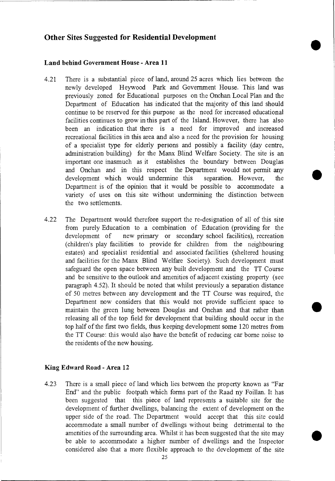# **Other Sites Suggested for Residential Development** •

#### **Land behind Government House - Area 11**

- 4.21 There is a substantial piece of land, around 25 acres which lies between the newly developed Heywood Park and Government House. This land was previously zoned for Educational purposes on the Onchan Local Plan and the Department of Education has indicated that the majority of this land should continue to be reserved for this purpose as the need for increased educational facilities continues to grow in this part of the Island. However, there has also been an indication that there is a need for improved and increased recreational facilities in this area and also a need for the provision for housing of a specialist type for elderly persons and possibly a facility (day centre, administration building) for the Manx Blind Welfare Society. The site is an important one inasmuch as it establishes the boundary between Douglas and Onchan and in this respect the Department would not permit any development which would undermine this separation. However, the development which would undermine this separation. However, the Department is of the opinion that it would be possible to accommodate a variety of uses on this site without undermining the distinction between the two settlements.
- 4.22 The Department would therefore support the re-designation of all of this site from purely Education to a combination of Education (providing for the development of new primary or secondary school facilities), recreation (children's play facilities to provide for children from the neighbouring estates) and specialist residential and associated facilities (sheltered housing and facilities for the Manx Blind Welfare Society). Such development must safeguard the open space between any built development and the TT Course and be sensitive to the outlook and amenities of adjacent existing property (see paragraph 4.52). It should be noted that whilst previously a separation distance of 50 metres between any development and the TT Course was required, the Department now considers that this would not provide sufficient space to maintain the green lung between Douglas and Onchan and that rather than releasing all of the top field for development that building should occur in the top half of the first two fields, thus keeping development some 120 metres from the TT Course: this would also have the benefit of reducing car borne noise to the residents of the new housing.

#### **King Edward Road - Area 12**

4.23 There is a small piece of land which lies between the property known as "Far End" and the public footpath which forms part of the Raad ny Foillan. It has been suggested that this piece of land represents a suitable site for the development of further dwellings, balancing the extent of development on the upper side of the road. The Department would accept that this site could accommodate a small number of dwellings without being detrimental to the amenities of the surrounding area. Whilst it has been suggested that the site may be able to accommodate a higher number of dwellings and the Inspector considered also that a more flexible approach to the development of the site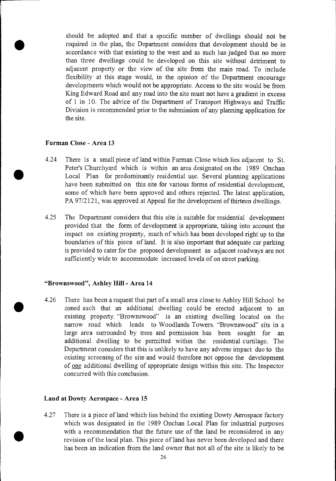should be adopted and that a specific number of dwellings should not be required in the plan, the Department considers that development should be in accordance with that existing to the west and as such has judged that no more than three dwellings could be developed on this site without detriment to adjacent property or the view of the site from the main road. To include flexibility at this stage would, in the opinion of the Department encourage developments which would not be appropriate. Access to the site would be from King Edward Road and any road into the site must not have a gradient in excess of 1 in 10. The advice of the Department of Transport Highways and Traffic Division is recommended prior to the submission of any planning application for the site.

## **Furman Close - Area 13**

- 4.24 There is a small piece of land within Furman Close which lies adjacent to St. Peter's Churchyard which is within an area designated on the 1989 Onchan Local Plan for predominantly residential use. Several planning applications have been submitted on this site for various forms of residential development, some of which have been approved and others rejected. The latest application, PA 97/2121, was approved at Appeal for the development of thirteen dwellings.
- 4.25 The Department considers that this site is suitable for residential development provided that the form of development is appropriate, taking into account the impact on existing property, much of which has been developed right up to the boundaries of this piece of land. It is also important that adequate car parking is provided to cater for the proposed development as adjacent roadways are not sufficiently wide to accommodate increased levels of on street parking.

## **"Brownswood", Ashley Hill - Area 14**

4.26 There has been a request that part of a small area close to Ashley Hill School be zoned such that an additional dwelling could be erected adjacent to an existing property. "Brownswood" is an existing dwelling located on the narrow road which leads to Woodlands Towers. "Brownswood" sits in a large area surrounded by trees and permission has been sought for an additional dwelling to be permitted within the residential curtilage. The Department considers that this is unlikely to have any adverse impact due to the existing screening of the site and would therefore not oppose the development of one additional dwelling of appropriate design within this site. The Inspector concurred with this conclusion.

## **Land at Dowty Aerospace - Area 15**

4.27 There is a piece of land which lies behind the existing Dowty Aerospace factory which was designated in the 1989 Onchan Local Plan for industrial purposes with a recommendation that the future use of the land be reconsidered in any revision of the local plan. This piece of land has never been developed and there has been an indication from the land owner that not all of the site is likely to be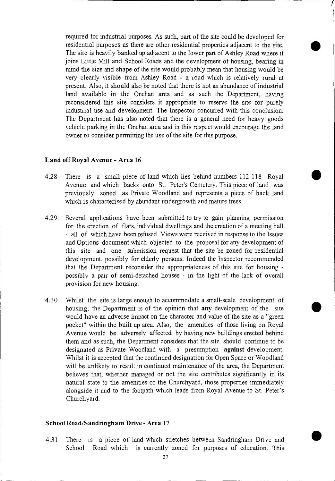required for industrial purposes. As such, part of the site could be developed for residential purposes as there are other residential properties adjacent to the site. The site is heavily banked up adjacent to the lower part of Ashley Road where it joins Little Mill and School Roads and the development of housing, bearing in mind the size and shape of the site would probably mean that housing would be very clearly visible from Ashley Road - a road which is relatively rural at present. Also, it should also be noted that there is not an abundance of industrial land available in the Onchan area and as such the Department, having reconsidered this site considers it appropriate to reserve the site for purely industrial use and development. The Inspector concurred with this conclusion. The Department has also noted that there is a general need for heavy goods vehicle parking in the Onchan area and in this respect would encourage the land owner to consider permitting the use of the site for this purpose.

#### **Land off Royal Avenue - Area 16**

- 4.28 There is a small piece of land which lies behind numbers 112-118 Royal Avenue and which backs onto St. Peter's Cemetery. This piece of land was previously zoned as Private Woodland and represents a piece of back land which is characterised by abundant undergrowth and mature trees.
- 4.29 Several applications have been submitted to try to gain planning permission for the erection of flats, individual dwellings and the creation of a meeting hall - all of which have been refused. Views were received in response to the Issues and Options document which objected to the proposal for any development of this site and one submission request that the site be zoned for residential development, possibly for elderly persons. Indeed the Inspector recommended that the Department reconsider the appropriateness of this site for housing possibly a pair of semi-detached houses - in the light of the lack of overall provision for new housing.
- 4.30 Whilst the site is large enough to accommodate a small-scale development of housing, the Department is of the opinion that **any** development of the site would have an adverse impact on the character and value of the site as a "green pocket" within the built up area. Also, the amenities of those living on Royal Avenue would be adversely affected by having new buildings erected behind them and as such, the Department considers that the site should continue to be designated as Private Woodland with a presumption **against** development. Whilst it is accepted that the continued designation for Open Space or Woodland will be unlikely to result in continued maintenance of the area, the Department believes that, whether managed or not the site contributes significantly in its natural state to the amenities of the Churchyard, those properties immediately alongside it and to the footpath which leads from Royal Avenue to St. Peter's Churchyard.

## **School Road/Sandringham Drive - Area 17**

4.31 There is a piece of land which stretches between Sandringham Drive and School Road which is currently zoned for purposes of education. This

•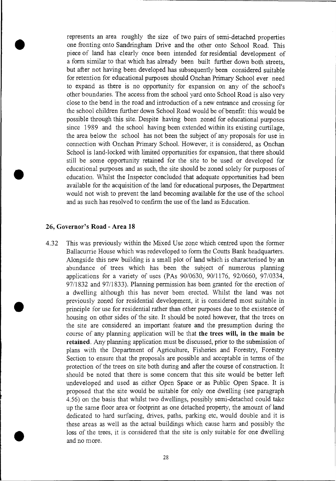represents an area roughly the size of two pairs of semi-detached properties one fronting onto Sandringham Drive and the other onto School Road. This piece of land has clearly once been intended for residential development of a form similar to that which has already been built further down both streets, but after not having been developed has subsequently been considered suitable for retention for educational purposes should Onchan Primary School ever need to expand as there is no opportunity for expansion on any of the school's other boundaries. The access from the school yard onto School Road is also very close to the bend in the road and introduction of a new entrance and crossing for the school children further down School Road would be of benefit: this would be possible through this site. Despite having been zoned for educational purposes since 1989 and the school having been extended within its existing curtilage, the area below the school has not been the subject of any proposals for use in connection with Onchan Primary School. However, it is considered, as Onchan School is land-locked with limited opportunities for expansion, that there should still be some opportunity retained for the site to be used or developed for educational purposes and as such, the site should be zoned solely for purposes of education. Whilst the Inspector concluded that adequate opportunities had been available for the acquisition of the land for educational purposes, the Department would not wish to prevent the land becoming available for the use of the school and as such has resolved to confirm the use of the land as Education.

#### **26, Governor's Road - Area 18**

•

•

4.32 This was previously within the Mixed Use zone which centred upon the former Ballacurrie House which was redeveloped to form the Coutts Bank headquarters. Alongside this new building is a small plot of land which is characterised by an abundance of trees which has been the subject of numerous planning applications for a variety of uses (PAs 90/0630, 90/1176, 92/0660, 97/0334, 97/1832 and 97/1833). Planning permission has been granted for the erection of a dwelling although this has never been erected. Whilst the land was not previously zoned for residential development, it is considered most suitable in principle for use for residential rather than other purposes due to the existence of housing on other sides of the site. It should be noted however, that the trees on the site are considered an important feature and the presumption during the course of any planning application will be that **the trees will, in the main be retained.** Any planning application must be discussed, prior to the submission of plans with the Department of Agriculture, Fisheries and Forestry, Forestry Section to ensure that the proposals are possible and acceptable in terms of the protection of the trees on site both during and after the course of construction. It should be noted that there is some concern that this site would be better left undeveloped and used as either Open Space or as Public Open Space. It is proposed that the site would be suitable for only one dwelling (see paragraph 4.56) on the basis that whilst two dwellings, possibly semi-detached could take up the same floor area or footprint as one detached property, the amount of land dedicated to hard surfacing, drives, paths, parking etc, would double and it is these areas as well as the actual buildings which cause harm and possibly the loss of the trees, it is considered that the site is only suitable for one dwelling and no more.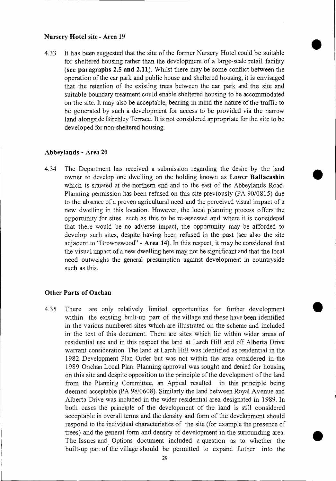#### **Nursery Hotel site - Area 19**

4.33 It has been suggested that the site of the former Nursery Hotel could be suitable for sheltered housing rather than the development of a large-scale retail facility **(see paragraphs 2.5 and 2.11).** Whilst there may be some conflict between the operation of the car park and public house and sheltered housing, it is envisaged that the retention of the existing trees between the car park and the site and suitable boundary treatment could enable sheltered housing to be accommodated on the site. It may also be acceptable, bearing in mind the nature of the traffic to be generated by such a development for access to be provided via the narrow land alongside Birchley Terrace. It is not considered appropriate for the site to be developed for non-sheltered housing.

#### **Abbeylands - Area 20**

4.34 The Department has received a submission regarding the desire by the land owner to develop one dwelling on the holding known as **Lower Ballacashin**  which is situated at the northern end and to the east of the Abbeylands Road. Planning permission has been refused on this site previously (PA 90/0815) due to the absence of a proven agricultural need and the perceived visual impact of a new dwelling in this location. However, the local planning process offers the opportunity for sites such as this to be re-assessed and where it is considered that there would be no adverse impact, the opportunity may be afforded to develop such sites, despite having been refused in the past (see also the site adjacent to "Brownswood" - **Area 14).** In this respect, it may be considered that the visual impact of a new dwelling here may not be significant and that the local need outweighs the general presumption against development in countryside such as this.

#### **Other Parts of Onchan**

4.35 There are only relatively limited opportunities for further development within the existing built-up part of the village and these have been identified in the various numbered sites which are illustrated on the scheme and included in the text of this document. There are sites which lie within wider areas of residential use and in this respect the land at Larch Hill and off Alberta Drive warrant consideration. The land at Larch Hill was identified as residential in the 1982 Development Plan Order but was not within the area considered in the 1989 Onchan Local Plan. Planning approval was sought and denied for housing on this site and despite opposition to the principle of the development of the land from the Planning Committee, an Appeal resulted in this principle being deemed acceptable (PA 98/0608). Similarly the land between Royal Avenue and Alberta Drive was included in the wider residential area designated in 1989. In both cases the principle of the development of the land is still considered acceptable in overall terms and the density and form of the development should respond to the individual characteristics of the site (for example the presence of trees) and the general form and density of development in the surrounding area. The Issues and Options document included a question as to whether the built-up part of the village should be permitted to expand further into the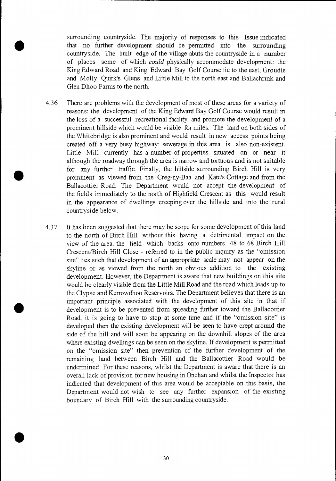surrounding countryside. The majority of responses to this Issue indicated that no further development should be permitted into the surrounding countryside. The built edge of the village abuts the countryside in a number of places some of which *could* physically accommodate development: the King Edward Road and King Edward Bay Golf Course lie to the east, Groudle and Molly Quirk's Glens and Little Mill to the north east and Ballachrink and Glen Dhoo Farms to the north.

- 4.36 There are problems with the development of most of these areas for a variety of reasons: the development of the King Edward Bay Golf Course would result in the loss of a successful recreational facility and promote the development of a prominent hillside which would be visible for miles. The land on both sides of the Whitebridge is also prominent and would result in new access points being created off a very busy highway: sewerage in this area is also non-existent. Little Mill currently has a number of properties situated on or near it although the roadway through the area is narrow and tortuous and is not suitable for any further traffic. Finally, the hillside surrounding Birch Hill is very prominent as viewed from the Creg-ny-Baa and Kate's Cottage and from the Ballacottier Road. The Department would not accept the development of the fields immediately to the north of Highfield Crescent as this would result in the appearance of dwellings creeping over the hillside and into the rural countryside below.
- 4.37 It has been suggested that there may be scope for some development of this land to the north of Birch Hill without this having a detrimental impact on the view of the area: the field which backs onto numbers 48 to 68 Birch Hill Crescent/Birch Hill Close - referred to in the public inquiry as the "omission site" lies such that development of an appropriate scale may not appear on the skyline or as viewed from the north an obvious addition to the existing development. However, the Department is aware that new buildings on this site would be clearly visible from the Little Mill Road and the road which leads up to the Clypse and Kerrowdhoo Reservoirs. The Department believes that there is an important principle associated with the development of this site in that if development is to be prevented from spreading further toward the Ballacottier Road, it is going to have to stop at some time and if the "omission site" is developed then the existing development will be seen to have crept around the side of the hill and will soon be appearing on the downhill slopes of the area where existing dwellings can be seen on the skyline. If development is permitted on the "omission site" then prevention of the further development of the remaining land between Birch Hill and the Ballacottier Road would be undermined. For these reasons, whilst the Department is aware that there is an overall lack of provision for new housing in Onchan and whilst the Inspector has indicated that development of this area would be acceptable on this basis, the Department would not wish to see any further expansion of the existing boundary of Birch Hill with the surrounding countryside.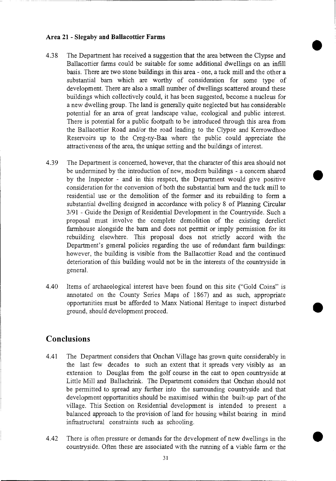#### **Area 21 - Slegaby and Ballacottier Farms**

- 4.38 The Department has received a suggestion that the area between the Clypse and Ballacottier farms could be suitable for some additional dwellings on an infill basis. There are two stone buildings in this area - one, a tuck mill and the other a substantial barn which are worthy of consideration for some type of development. There are also a small number of dwellings scattered around these buildings which collectively could, it has been suggested, become a nucleus for a new dwelling group. The land is generally quite neglected but has considerable potential for an area of great landscape value, ecological and public interest. There is potential for a public footpath to be introduced through this area from the Ballacottier Road and/or the road leading to the Clypse and Kerrowdhoo Reservoirs up to the Creg-ny-Baa where the public could appreciate the attractiveness of the area, the unique setting and the buildings of interest.
- 4.39 The Department is concerned, however, that the character of this area should not be undermined by the introduction of new, modern buildings - a concern shared by the Inspector - and in this respect, the Department would give positive consideration for the conversion of both the substantial barn and the tuck mill to residential use or the demolition of the former and its rebuilding to form a substantial dwelling designed in accordance with policy 8 of Planning Circular 3/91 - Guide the Design of Residential Development in the Countryside. Such a proposal must involve the complete demolition of the existing derelict farmhouse alongside the barn and does not permit or imply permission for its rebuilding elsewhere. This proposal does not strictly accord with the Department's general policies regarding the use of redundant farm buildings: however, the building is visible from the Ballacottier Road and the continued deterioration of this building would not be in the interests of the countryside in general.
- 4.40 Items of archaeological interest have been found on this site ("Gold Coins" is annotated on the County Series Maps of 1867) and as such, appropriate opportunities must be afforded to Manx National Heritage to inspect disturbed ground, should development proceed.

# **Conclusions**

- 4.41 The Department considers that Onchan Village has grown quite considerably in the last few decades to such an extent that it spreads very visibly as an extension to Douglas from the golf course in the east to open countryside at Little Mill and Ballachrink. The Department considers that Onchan should not be permitted to spread any further into the surrounding countryside and that development opportunities should be maximised within the built-up part of the village. This Section on Residential development is intended to present a balanced approach to the provision of land for housing whilst bearing in mind infrastructural constraints such as schooling.
- 4.42 There is often pressure or demands for the development of new dwellings in the countryside. Often these are associated with the running of a viable farm or the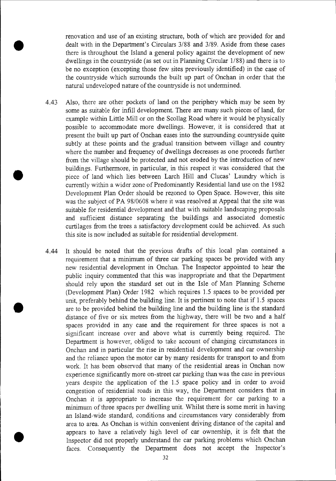renovation and use of an existing structure, both of which are provided for and dealt with in the Department's Circulars 3/88 and 3/89. Aside from these cases there is throughout the Island a general policy against the development of new dwellings in the countryside (as set out in Planning Circular 1/88) and there is to be no exception (excepting those few sites previously identified) in the case of the countryside which surrounds the built up part of Onchan in order that the natural undeveloped nature of the countryside is not undermined.

•

•

- 4.43 Also, there are other pockets of land on the periphery which may be seen by some as suitable for infill development. There are many such pieces of land, for example within Little Mill or on the Scollag Road where it would be physically possible to accommodate more dwellings. However, it is considered that at present the built up part of Onchan eases into the surrounding countryside quite subtly at these points and the gradual transition between village and country where the number and frequency of dwellings decreases as one proceeds further from the village should be protected and not eroded by the introduction of new buildings. Furthermore, in particular, in this respect it was considered that the piece of land which lies between Larch Hill and Clucas' Laundry which is currently within a wider zone of Predominantly Residential land use on the 1982 Development Plan Order should be rezoned to Open Space. However, this site was the subject of PA 98/0608 where it was resolved at Appeal that the site was suitable for residential development and that with suitable landscaping proposals and sufficient distance separating the buildings and associated domestic curtilages from the trees a satisfactory development could be achieved. As such this site is now included as suitable for residential development.
- 4.44 It should be noted that the previous drafts of this local plan contained a requirement that a minimum of three car parking spaces be provided with any new residential development in Onchan. The Inspector appointed to hear the public inquiry commented that this was inappropriate and that the Department should rely upon the standard set out in the Isle of Man Planning Scheme (Development Plan) Order 1982 which requires 1.5 spaces to be provided per unit, preferably behind the building line. It is pertinent to note that if 1.5 spaces are to be provided behind the building line and the building line is the standard distance of five or six metres from the highway, there will be two and a half spaces provided in any case and the requirement for three spaces is not a significant increase over and above what is currently being required. The Department is however, obliged to take account of changing circumstances in Onchan and in particular the rise in residential development and car ownership and the reliance upon the motor car by many residents for transport to and from work. It has been observed that many of the residential areas in Onchan now experience significantly more on-street car parking than was the case in previous years despite the application of the 1.5 space policy and in order to avoid congestion of residential roads in this way, the Department considers that in Onchan it is appropriate to increase the requirement for car parking to a minimum of three spaces per dwelling unit. Whilst there is some merit in having an Island-wide standard, conditions and circumstances vary considerably from area to area. As Onchan is within convenient driving distance of the capital and appears to have a relatively high level of car ownership, it is felt that the Inspector did not properly understand the car parking problems which Onchan faces. Consequently the Department does not accept the Inspector's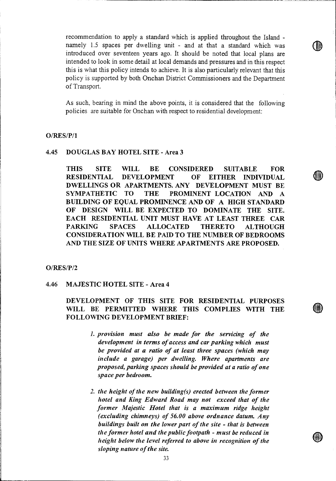recommendation to apply a standard which is applied throughout the Island namely 1.5 spaces per dwelling unit - and at that a standard which was introduced over seventeen years ago. It should be noted that local plans are intended to look in some detail at local demands and pressures and in this respect this is what this policy intends to achieve. It is also particularly relevant that this policy is supported by both Onchan District Commissioners and the Department of Transport.

As such, bearing in mind the above points, it is considered that the following policies are suitable for Onchan with respect to residential development:

#### **0/RES/P/1**

#### **4.45 DOUGLAS BAY HOTEL SITE - Area 3**

**THIS SITE WILL BE CONSIDERED SUITABLE FOR RESIDENTIAL DEVELOPMENT OF EITHER INDIVIDUAL DWELLINGS OR APARTMENTS. ANY DEVELOPMENT MUST BE**  SYMPATHETIC TO THE PROMINENT LOCATION AND **BUILDING OF EQUAL PROMINENCE AND OF A HIGH STANDARD OF DESIGN WILL BE EXPECTED TO DOMINATE THE SITE. EACH RESIDENTIAL UNIT MUST HAVE AT LEAST THREE CAR PARKING SPACES ALLOCATED THERETO ALTHOUGH CONSIDERATION WILL BE PAID TO THE NUMBER OF BEDROOMS AND THE SIZE OF UNITS WHERE APARTMENTS ARE PROPOSED.** 

#### **0/RES/P/2**

#### **4.46 MAJESTIC HOTEL SITE - Area 4**

# **DEVELOPMENT OF THIS SITE FOR RESIDENTIAL PURPOSES WILL BE PERMITTED WHERE THIS COMPLIES WITH THE FOLLOWING DEVELOPMENT BRIEF:**

- *I. provision must also be made for the servicing of the development in terms of access and car parking which must be provided at a ratio of at least three spaces (which may include a garage) per dwelling. Where apartments are proposed, parking spaces should be provided at a ratio of one space per bedroom.*
- *2. the height of the new building(s) erected between the former hotel and King Edward Road may not exceed that of the former Majestic Hotel that is a maximum ridge height (excluding chimneys) of 56.00 above ordnance datum. Any buildings built on the lower part of the site - that is between the former hotel and the public footpath - must be reduced in height below the level referred to above in recognition of the sloping nature of the site.*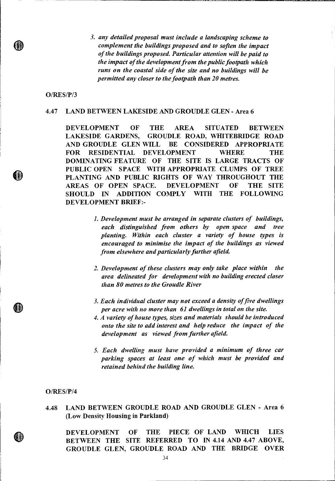*3. any detailed proposal must include a landscaping scheme to complement the buildings proposed and to soften the impact of the buildings proposed. Particular attention will be paid to the impact of the development from the public footpath which runs on the coastal side of the site and no buildings will be permitted any closer to the footpath than 20 metres.* 

#### $O/RES/P/3$

#### **4.47 LAND BETWEEN LAKESIDE AND GROUDLE GLEN - Area 6**

**DEVELOPMENT OF THE AREA SITUATED BETWEEN LAKESIDE GARDENS, GROUDLE ROAD, WHITEBRIDGE ROAD AND GROUDLE GLEN WILL BE CONSIDERED APPROPRIATE FOR RESIDENTIAL DEVELOPMENT WHERE THE DOMINATING FEATURE OF THE SITE IS LARGE TRACTS OF PUBLIC OPEN SPACE WITH APPROPRIATE CLUMPS OF TREE PLANTING AND PUBLIC RIGHTS OF WAY THROUGHOUT THE AREAS OF OPEN SPACE. DEVELOPMENT OF THE SITE SHOULD IN ADDITION COMPLY WITH THE FOLLOWING DEVELOPMENT BRIEF:-** 

- *1. Development must be arranged in separate clusters of buildings, each distinguished from others by open space and tree planting. Within each cluster a variety of house types is encouraged to minimise the impact of the buildings as viewed from elsewhere and particularly further afield.*
- *2. Development of these clusters may only take place within the area delineated for development with no building erected closer than 80 metres to the Groudle River*
- *3. Each individual cluster may not exceed a density of five dwellings per acre with no more than 61 dwellings in total on the site.*
- *4. A variety of house types, sizes and materials should be introduced onto the site to add interest and help reduce the impact of the development as viewed from further afield.*
- *5. Each dwelling must have provided a minimum of three car parking spaces at least one of which must be provided and retained behind the building line.*

#### **0/RES/P/4**

**4.48 LAND BETWEEN GROUDLE ROAD AND GROUDLE GLEN - Area 6 (Low Density Housing in Parkland)** 

**DEVELOPMENT OF THE PIECE OF LAND WHICH LIES BETWEEN THE SITE REFERRED TO IN 4.14 AND 4.47 ABOVE, GROUDLE GLEN, GROUDLE ROAD AND THE BRIDGE OVER**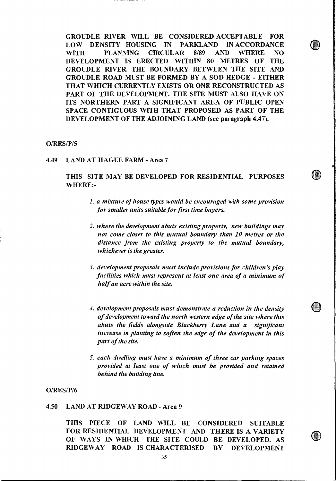GROUDLE RIVER WILL BE CONSIDERED ACCEPTABLE FOR LOW DENSITY HOUSING IN PARKLAND IN ACCORDANCE WITH PLANNING CIRCULAR 8/89 AND WHERE NO DEVELOPMENT IS ERECTED WITHIN 80 METRES OF THE GROUDLE RIVER. THE BOUNDARY BETWEEN THE SITE AND GROUDLE ROAD MUST BE FORMED BY A SOD HEDGE - EITHER THAT WHICH CURRENTLY EXISTS OR ONE RECONSTRUCTED AS PART OF THE DEVELOPMENT. THE SITE MUST ALSO HAVE ON ITS NORTHERN PART A SIGNIFICANT AREA OF PUBLIC OPEN SPACE CONTIGUOUS WITH THAT PROPOSED AS PART OF THE DEVELOPMENT OF THE ADJOINING LAND (see paragraph 4.47).

#### 0/RES/P/5

4.49 LAND AT HAGUE FARM - Area 7

# THIS SITE MAY BE DEVELOPED FOR RESIDENTIAL PURPOSES WHERE:-

- *I. a mixture of house types would be encouraged with some provision for smaller units suitable for first time buyers.*
- *2. where the development abuts existing property, new buildings may not come closer to this mutual boundary than 10 metres or the distance from the existing property to the mutual boundary, whichever is the greater.*
- *3. development proposals must include provisions for children's play facilities which must represent at least one area of a minimum of half an acre within the site.*
- *4. development proposals must demonstrate a reduction in the density of development toward the north western edge of the site where this abuts the fields alongside Blackberry Lane and a significant increase in planting to soften the edge of the development in this part of the site.*
- *5. each dwelling must have a minimum of three car parking spaces provided at least one of which must be provided and retained behind the building line.*

#### 0/RES/P/6

## 4.50 LAND AT RIDGEWAY ROAD - Area 9

THIS PIECE OF LAND WILL BE CONSIDERED SUITABLE FOR RESIDENTIAL DEVELOPMENT AND THERE IS A VARIETY OF WAYS IN WHICH THE SITE COULD BE DEVELOPED. AS RIDGEWAY ROAD IS CHARACTERISED BY DEVELOPMENT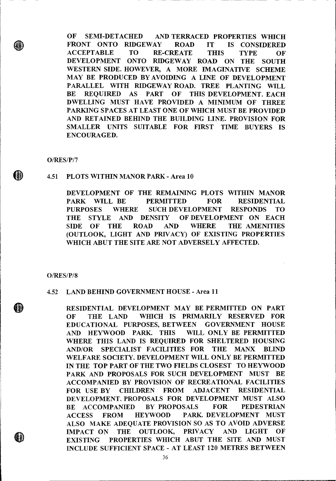OF SEMI-DETACHED AND TERRACED PROPERTIES WHICH FRONT ONTO RIDGEWAY ROAD IT IS CONSIDERED ACCEPTABLE TO RE-CREATE THIS TYPE OF DEVELOPMENT ONTO RIDGEWAY ROAD ON THE SOUTH WESTERN SIDE. HOWEVER, A MORE IMAGINATIVE SCHEME MAY BE PRODUCED BY AVOIDING A LINE OF DEVELOPMENT PARALLEL WITH RIDGEWAY ROAD. TREE PLANTING WILL BE REQUIRED AS PART OF THIS DEVELOPMENT. EACH DWELLING MUST HAVE PROVIDED A MINIMUM OF THREE PARKING SPACES AT LEAST ONE OF WHICH MUST BE PROVIDED AND RETAINED BEHIND THE BUILDING LINE. PROVISION FOR SMALLER UNITS SUITABLE FOR FIRST TIME BUYERS IS ENCOURAGED.

0/RES/P/7

HO

O)

#### 4.51 PLOTS WITHIN MANOR PARK - Area 10

DEVELOPMENT OF THE REMAINING PLOTS WITHIN MANOR PARK WILL BE PERMITTED FOR RESIDENTIAL PURPOSES WHERE SUCH DEVELOPMENT RESPONDS TO THE STYLE AND DENSITY OF DEVELOPMENT ON EACH<br>SIDE OF THE ROAD AND WHERE THE AMENITIES SIDE OF THE ROAD AND WHERE THE AMENITIES (OUTLOOK, LIGHT AND PRIVACY) OF EXISTING PROPERTIES WHICH ABUT THE SITE ARE NOT ADVERSELY AFFECTED.

#### 0/RES/P/8

#### 4.52 LAND BEHIND GOVERNMENT HOUSE - Area 11

RESIDENTIAL DEVELOPMENT MAY BE PERMITTED ON PART OF THE LAND WHICH IS PRIMARILY RESERVED FOR EDUCATIONAL PURPOSES, BETWEEN GOVERNMENT HOUSE AND HEYWOOD PARK. THIS WILL ONLY BE PERMITTED WHERE THIS LAND IS REQUIRED FOR SHELTERED HOUSING AND/OR SPECIALIST FACILITIES FOR THE MANX BLIND WELFARE SOCIETY. DEVELOPMENT WILL ONLY BE PERMITTED IN THE TOP PART OF THE TWO FIELDS CLOSEST TO HEYWOOD PARK AND PROPOSALS FOR SUCH DEVELOPMENT MUST BE ACCOMPANIED BY PROVISION OF RECREATIONAL FACILITIES FOR USE BY CHILDREN FROM ADJACENT RESIDENTIAL DEVELOPMENT. PROPOSALS FOR DEVELOPMENT MUST ALSO BE ACCOMPANIED BY PROPOSALS FOR PEDESTRIAN ACCESS FROM HEYWOOD PARK. DEVELOPMENT MUST ALSO MAKE ADEQUATE PROVISION SO AS TO AVOID ADVERSE IMPACT ON THE OUTLOOK, PRIVACY AND LIGHT OF EXISTING PROPERTIES WHICH ABUT THE SITE AND MUST INCLUDE SUFFICIENT SPACE - AT LEAST 120 METRES BETWEEN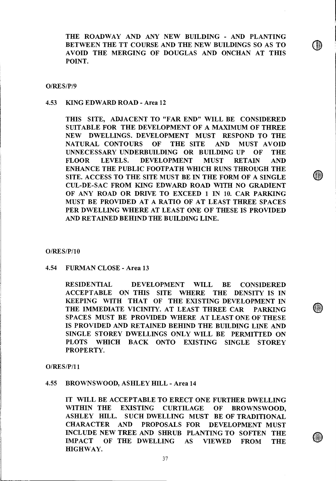THE ROADWAY AND ANY NEW BUILDING - AND PLANTING BETWEEN THE TT COURSE AND THE NEW BUILDINGS SO AS TO AVOID THE MERGING OF DOUGLAS AND ONCHAN AT THIS POINT.

#### 0/RES/P/9

#### 4.53 KING EDWARD ROAD - Area 12

THIS SITE, ADJACENT TO "FAR END" WILL BE CONSIDERED SUITABLE FOR THE DEVELOPMENT OF A MAXIMUM OF THREE NEW DWELLINGS. DEVELOPMENT MUST RESPOND TO THE NATURAL CONTOURS OF THE SITE AND MUST AVOID UNNECESSARY UNDERBUILDING OR BUILDING UP OF THE FLOOR LEVELS. DEVELOPMENT MUST RETAIN AND ENHANCE THE PUBLIC FOOTPATH WHICH RUNS THROUGH THE SITE. ACCESS TO THE SITE MUST BE IN THE FORM OF A SINGLE CUL-DE-SAC FROM KING EDWARD ROAD WITH NO GRADIENT OF ANY ROAD OR DRIVE TO EXCEED 1 IN 10. CAR PARKING MUST BE PROVIDED AT A RATIO OF AT LEAST THREE SPACES PER DWELLING WHERE AT LEAST ONE OF THESE IS PROVIDED AND RETAINED BEHIND THE BUILDING LINE.

0/RES/P/10

## 4.54 FURMAN CLOSE - Area 13

RESIDENTIAL DEVELOPMENT WILL BE CONSIDERED ACCEPTABLE ON THIS SITE WHERE THE DENSITY IS IN KEEPING WITH THAT OF THE EXISTING DEVELOPMENT IN THE IMMEDIATE VICINITY. AT LEAST THREE CAR PARKING SPACES MUST BE PROVIDED WHERE AT LEAST ONE OF THESE IS PROVIDED AND RETAINED BEHIND THE BUILDING LINE AND SINGLE STOREY DWELLINGS ONLY WILL BE PERMITTED ON PLOTS WHICH BACK ONTO EXISTING SINGLE STOREY PROPERTY.

0/RES/P/11

#### 4.55 BROWNSWOOD, ASHLEY HILL - Area 14

IT WILL BE ACCEPTABLE TO ERECT ONE FURTHER DWELLING WITHIN THE EXISTING CURTILAGE OF BROWNSWOOD, ASHLEY HILL. SUCH DWELLING MUST BE OF TRADITIONAL CHARACTER AND PROPOSALS FOR DEVELOPMENT MUST INCLUDE NEW TREE AND SHRUB PLANTING TO SOFTEN THE IMPACT OF THE DWELLING AS VIEWED FROM THE HIGHWAY.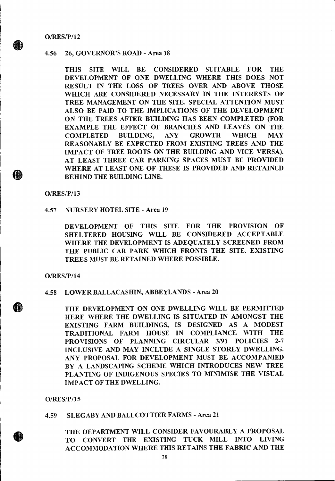0/RES/P/12

#### 4.56 26, GOVERNOR'S ROAD - Area 18

THIS SITE WILL BE CONSIDERED SUITABLE FOR THE DEVELOPMENT OF ONE DWELLING WHERE THIS DOES NOT RESULT IN THE LOSS OF TREES OVER AND ABOVE THOSE WHICH ARE CONSIDERED NECESSARY IN THE INTERESTS OF TREE MANAGEMENT ON THE SITE. SPECIAL ATTENTION MUST ALSO BE PAID TO THE IMPLICATIONS OF THE DEVELOPMENT ON THE TREES AFTER BUILDING HAS BEEN COMPLETED (FOR EXAMPLE THE EFFECT OF BRANCHES AND LEAVES ON THE COMPLETED BUILDING, ANY GROWTH WHICH MAY REASONABLY BE EXPECTED FROM EXISTING TREES AND THE IMPACT OF TREE ROOTS ON THE BUILDING AND VICE VERSA). AT LEAST THREE CAR PARKING SPACES MUST BE PROVIDED WHERE AT LEAST ONE OF THESE IS PROVIDED AND RETAINED BEHIND THE BUILDING LINE.

#### 0/RES/P/13

#### 4.57 NURSERY HOTEL SITE - Area 19

DEVELOPMENT OF THIS SITE FOR THE PROVISION OF SHELTERED HOUSING WILL BE CONSIDERED ACCEPTABLE WHERE THE DEVELOPMENT IS ADEQUATELY SCREENED FROM THE PUBLIC CAR PARK WHICH FRONTS THE SITE. EXISTING TREES MUST BE RETAINED WHERE POSSIBLE.

0/RES/P/14

#### 4.58 LOWER BALLACASHIN, ABBEYLANDS - Area 20

THE DEVELOPMENT ON ONE DWELLING WILL BE PERMITTED HERE WHERE THE DWELLING IS SITUATED IN AMONGST THE EXISTING FARM BUILDINGS, IS DESIGNED AS A MODEST TRADITIONAL FARM HOUSE IN COMPLIANCE WITH THE PROVISIONS OF PLANNING CIRCULAR 3/91 POLICIES 2-7 INCLUSIVE AND MAY INCLUDE A SINGLE STOREY DWELLING. ANY PROPOSAL FOR DEVELOPMENT MUST BE ACCOMPANIED BY A LANDSCAPING SCHEME WHICH INTRODUCES NEW TREE PLANTING OF INDIGENOUS SPECIES TO MINIMISE THE VISUAL IMPACT OF THE DWELLING.

0/RES/P/15

## 4.59 SLEGABY AND BALLCOTTIER FARMS - Area 21

THE DEPARTMENT WILL CONSIDER FAVOURABLY A PROPOSAL TO CONVERT THE EXISTING TUCK MILL INTO LIVING ACCOMMODATION WHERE THIS RETAINS THE FABRIC AND THE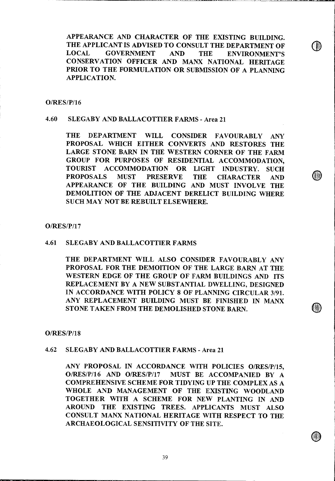APPEARANCE AND CHARACTER OF THE EXISTING BUILDING. THE APPLICANT IS ADVISED TO CONSULT THE DEPARTMENT OF LOCAL GOVERNMENT AND THE ENVIRONMENT'S CONSERVATION OFFICER AND MANX NATIONAL HERITAGE PRIOR TO THE FORMULATION OR SUBMISSION OF A PLANNING APPLICATION.

#### 0/RES/P/16

## 4.60 SLEGABY AND BALLACOTTIER FARMS - Area 21

THE DEPARTMENT WILL CONSIDER FAVOURABLY ANY PROPOSAL WHICH EITHER CONVERTS AND RESTORES THE LARGE STONE BARN IN THE WESTERN CORNER OF THE FARM GROUP FOR PURPOSES OF RESIDENTIAL ACCOMMODATION, TOURIST ACCOMMODATION OR LIGHT INDUSTRY. SUCH PROPOSALS MUST PRESERVE THE CHARACTER AND APPEARANCE OF THE BUILDING AND MUST INVOLVE THE DEMOLITION OF THE ADJACENT DERELICT BUILDING WHERE SUCH MAY NOT BE REBUILT ELSEWHERE.

0/RES/P/17

#### 4.61 SLEGABY AND BALLACOTTIER FARMS

THE DEPARTMENT WILL ALSO CONSIDER FAVOURABLY ANY PROPOSAL FOR THE DEMOITION OF THE LARGE BARN AT THE WESTERN EDGE OF THE GROUP OF FARM BUILDINGS AND ITS REPLACEMENT BY A NEW SUBSTANTIAL DWELLING, DESIGNED IN ACCORDANCE WITH POLICY 8 OF PLANNING CIRCULAR 3/91. ANY REPLACEMENT BUILDING MUST BE FINISHED IN MANX STONE TAKEN FROM THE DEMOLISHED STONE BARN.

0/RES/P/18

## 4.62 SLEGABY AND BALLACOTTIER FARMS - Area 21

ANY PROPOSAL IN ACCORDANCE WITH POLICIES 0/RES/P/15, 0/RES/P/16 AND 0/RES/P/17 MUST BE ACCOMPANIED BY A COMPREHENSIVE SCHEME FOR TIDYING UP THE COMPLEX AS A WHOLE AND MANAGEMENT OF THE EXISTING WOODLAND TOGETHER WITH A SCHEME FOR NEW PLANTING IN AND AROUND THE EXISTING TREES. APPLICANTS MUST ALSO CONSULT MANX NATIONAL HERITAGE WITH RESPECT TO THE ARCHAEOLOGICAL SENSITIVITY OF THE SITE.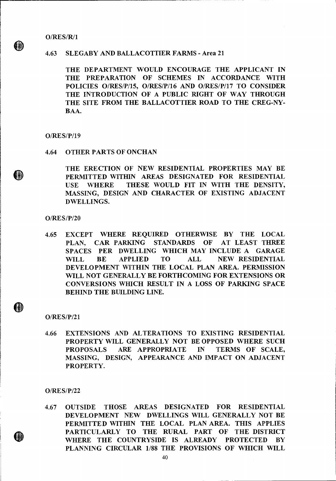0/RES/R/1

#### 4.63 SLEGABY AND BALLACOTTIER FARMS - Area 21

THE DEPARTMENT WOULD ENCOURAGE THE APPLICANT IN THE PREPARATION OF SCHEMES IN ACCORDANCE WITH POLICIES 0/RES/P/15, 0/RES/P/16 AND 0/RES/P/17 TO CONSIDER THE INTRODUCTION OF A PUBLIC RIGHT OF WAY THROUGH THE SITE FROM THE BALLACOTTIER ROAD TO THE CREG-NY-BAA.

0/RES/P/19

#### 4.64 OTHER PARTS OF ONCHAN

THE ERECTION OF NEW RESIDENTIAL PROPERTIES MAY BE PERMITTED WITHIN AREAS DESIGNATED FOR RESIDENTIAL USE WHERE THESE WOULD FIT IN WITH THE DENSITY, MASSING, DESIGN AND CHARACTER OF EXISTING ADJACENT DWELLINGS.

0/RES/P/20

4.65 EXCEPT WHERE REQUIRED OTHERWISE BY THE LOCAL PLAN, CAR PARKING STANDARDS OF AT LEAST THREE SPACES PER DWELLING WHICH MAY INCLUDE A GARAGE WILL BE APPLIED TO ALL NEW RESIDENTIAL DEVELOPMENT WITHIN THE LOCAL PLAN AREA. PERMISSION WILL NOT GENERALLY BE FORTHCOMING FOR EXTENSIONS OR CONVERSIONS WHICH RESULT IN A LOSS OF PARKING SPACE BEHIND THE BUILDING LINE.

0/RES/P/21

4.66 EXTENSIONS AND ALTERATIONS TO EXISTING RESIDENTIAL PROPERTY WILL GENERALLY NOT BE OPPOSED WHERE SUCH PROPOSALS ARE APPROPRIATE IN TERMS OF SCALE, MASSING, DESIGN, APPEARANCE AND IMPACT ON ADJACENT PROPERTY.

0/RES/P/22

4.67 OUTSIDE THOSE AREAS DESIGNATED FOR RESIDENTIAL DEVELOPMENT NEW DWELLINGS WILL GENERALLY NOT BE PERMITTED WITHIN THE LOCAL PLAN AREA. THIS APPLIES PARTICULARLY TO THE RURAL PART OF THE DISTRICT WHERE THE COUNTRYSIDE IS ALREADY PROTECTED BY PLANNING CIRCULAR 1/88 THE PROVISIONS OF WHICH WILL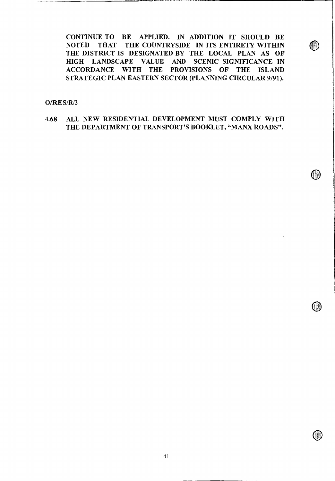CONTINUE TO BE APPLIED. IN ADDITION IT SHOULD BE NOTED THAT THE COUNTRYSIDE IN ITS ENTIRETY WITHIN THE DISTRICT IS DESIGNATED BY THE LOCAL PLAN AS OF HIGH LANDSCAPE VALUE AND SCENIC SIGNIFICANCE IN ACCORDANCE WITH THE PROVISIONS OF THE ISLAND STRATEGIC PLAN EASTERN SECTOR (PLANNING CIRCULAR 9/91).

0/RES/R/2

# 4.68 ALL NEW RESIDENTIAL DEVELOPMENT MUST COMPLY WITH THE DEPARTMENT OF TRANSPORT'S BOOKLET, "MANX ROADS".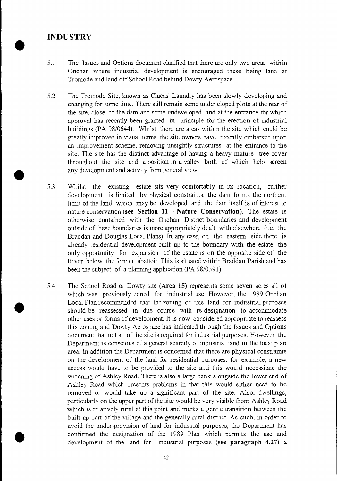# INDUSTRY

- 5.1 The Issues and Options document clarified that there are only two areas within Onchan where industrial development is encouraged these being land at Tromode and land off School Road behind Dowty Aerospace.
- 5.2 The Tromode Site, known as Clucas' Laundry has been slowly developing and changing for some time. There still remain some undeveloped plots at the rear of the site, close to the dam and some undeveloped land at the entrance for which approval has recently been granted in principle for the erection of industrial buildings (PA 98/0644). Whilst there are areas within the site which could be greatly improved in visual terms, the site owners have recently embarked upon an improvement scheme, removing unsightly structures at the entrance to the site. The site has the distinct advantage of having a heavy mature tree cover throughout the site and a position in a valley both of which help screen any development and activity from general view.
- 5.3 Whilst the existing estate sits very comfortably in its location, further development is limited by physical constraints: the dam forms the northern limit of the land which may be developed and the dam itself is of interest to nature conservation (see Section 11 - Nature Conservation). The estate is otherwise contained with the Onchan District boundaries and development outside of these boundaries is more appropriately dealt with elsewhere (i.e. the Braddan and Douglas Local Plans). In any case, on the eastern side there is already residential development built up to the boundary with the estate: the only opportunity for expansion of the estate is on the opposite side of the River below the former abattoir. This is situated within Braddan Parish and has been the subject of a planning application (PA 98/0391).
- 5.4 The School Road or Dowty site (Area 15) represents some seven acres all of which was previously zoned for industrial use. However, the 1989 Onchan Local Plan recommended that the zoning of this land for industrial purposes should be reassessed in due course with re-designation to accommodate other uses or forms of development. It is now considered appropriate to reassess this zoning and Dowty Aerospace has indicated through the Issues and Options document that not all of the site is required for industrial purposes. However, the Department is conscious of a general scarcity of industrial land in the local plan area. In addition the Department is concerned that there are physical constraints on the development of the land for residential purposes: for example, a new access would have to be provided to the site and this would necessitate the widening of Ashley Road. There is also a large bank alongside the lower end of Ashley Road which presents problems in that this would either need to be removed or would take up a significant part of the site. Also, dwellings, particularly on the upper part of the site would be very visible from Ashley Road which is relatively rural at this point and marks a gentle transition between the built up part of the village and the generally rural district. As such, in order to avoid the under-provision of land for industrial purposes, the Department has confirmed the designation of the 1989 Plan which permits the use and development of the land for industrial purposes (see paragraph 4.27) a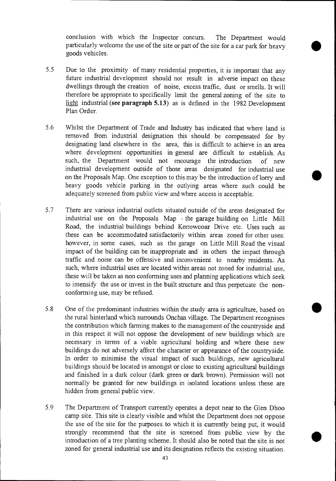conclusion with which the Inspector concurs. The Department would particularly welcome the use of the site or part of the site for a car park for heavy goods vehicles.

- 5.5 Due to the proximity of many residential properties, it is important that any future industrial development should not result in adverse impact on these dwellings through the creation of noise, excess traffic, dust or smells. It will therefore be appropriate to specifically limit the general zoning of the site to light industrial (see paragraph 5.13) as is defined in the 1982 Development Plan Order.
- 5.6 Whilst the Department of Trade and Industry has indicated that where land is removed from industrial designation this should be compensated for by designating land elsewhere in the area, this is difficult to achieve in an area where development opportunities in general are difficult to establish. As such, the Department would not encourage the introduction of new industrial development outside of those areas designated for industrial use on the Proposals Map. One exception to this may be the introduction of lorry and heavy goods vehicle parking in the outlying areas where such could be adequately screened from public view and where access is acceptable.
- 5.7 There are various industrial outlets situated outside of the areas designated for industrial use on the Proposals Map - the garage building on Little Mill Road, the industrial buildings behind Kerrowcoar Drive etc. Uses such as these can be accommodated satisfactorily within areas zoned for other uses: however, in some cases, such as the garage on Little Mill Road the visual impact of the building can be inappropriate and in others the impact through traffic and noise can be offensive and inconvenient to nearby residents. As such, where industrial uses are located within areas not zoned for industrial use, these will be taken as non conforming uses and planning applications which seek to intensify the use or invest in the built structure and thus perpetuate the nonconforming use, may be refused.
- 5.8 One of the predominant industries within the study area is agriculture, based on the rural hinterland which surrounds Onchan village. The Department recognises the contribution which farming makes to the management of the countryside and in this respect it will not oppose the development of new buildings which are necessary in terms of a viable agricultural holding and where these new buildings do not adversely affect the character or appearance of the countryside: In order to minimise the visual impact of such buildings, new agricultural buildings should be located in amongst or close to existing agricultural buildings and finished in a dark colour (dark green or dark brown). Permission will not normally be granted for new buildings in isolated locations unless these are hidden from general public view.
- 5.9 The Department of Transport currently operates a depot near to the Glen Dhoo camp site. This site is clearly visible and whilst the Department does not oppose the use of the site for the purposes to which it is currently being put, it would strongly recommend that the site is screened from public view by the introduction of a tree planting scheme. It should also be noted that the site is not zoned for general industrial use and its designation reflects the existing situation.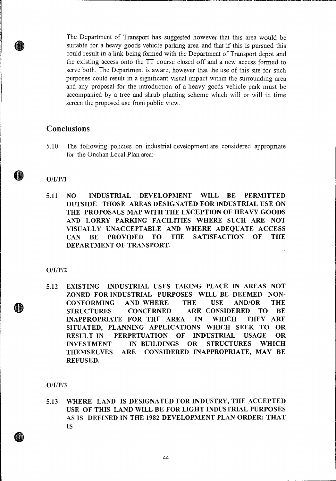The Department of Transport has suggested however that this area would be suitable for a heavy goods vehicle parking area and that if this is pursued this could result in a link being formed with the Department of Transport depot and the existing access onto the TT course closed off and a new access formed to serve both. The Department is aware, however that the use of this site for such purposes could result in a significant visual impact within the surrounding area and any proposal for the introduction of a heavy goods vehicle park must be accompanied by a tree and shrub planting scheme which will or will in time screen the proposed use from public view.

# **Conclusions**

5.10 The following policies on industrial development are considered appropriate for the Onchan Local Plan area:-

# $O/I/P/1$

5.11 NO INDUSTRIAL DEVELOPMENT WILL BE PERMITTED OUTSIDE THOSE AREAS DESIGNATED FOR INDUSTRIAL USE ON THE PROPOSALS MAP WITH THE EXCEPTION OF HEAVY GOODS AND LORRY PARKING FACILITIES WHERE SUCH ARE NOT VISUALLY UNACCEPTABLE AND WHERE ADEQUATE ACCESS CAN BE PROVIDED TO THE SATISFACTION OF THE DEPARTMENT OF TRANSPORT.

0/I/P/2

5.12 EXISTING INDUSTRIAL USES TAKING PLACE IN AREAS NOT ZONED FOR INDUSTRIAL PURPOSES WILL BE DEEMED NON-CONFORMING AND WHERE THE USE AND/OR THE STRUCTURES CONCERNED ARE CONSIDERED TO BE INAPPROPRIATE FOR THE AREA IN WHICH THEY ARE SITUATED, PLANNING APPLICATIONS WHICH SEEK TO OR RESULT IN PERPETUATION OF INDUSTRIAL USAGE OR INVESTMENT IN BUILDINGS OR STRUCTURES WHICH THEMSELVES ARE CONSIDERED INAPPROPRIATE, MAY BE REFUSED.

0/I/P/3

5.13 WHERE LAND IS DESIGNATED FOR INDUSTRY, THE ACCEPTED USE OF THIS LAND WILL BE FOR LIGHT INDUSTRIAL PURPOSES AS IS DEFINED IN THE 1982 DEVELOPMENT PLAN ORDER: THAT IS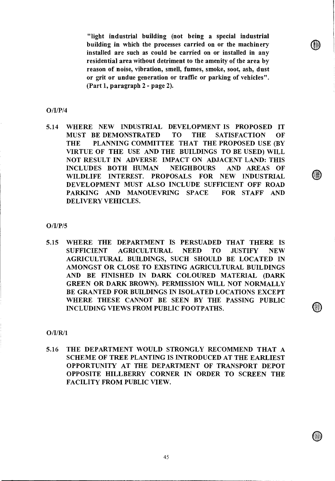**"light industrial building (not being a special industrial building in which the processes carried on or the machinery installed are such as could be carried on or installed in any residential area without detriment to the amenity of the area by reason of noise, vibration, smell, fumes, smoke, soot, ash, dust or grit or undue generation or traffic or parking of vehicles". (Part 1, paragraph 2 - page 2).** 

#### **0/I/P/4**

**5.14 WHERE NEW INDUSTRIAL DEVELOPMENT IS PROPOSED IT MUST BE DEMONSTRATED TO THE SATISFACTION OF THE PLANNING COMMITTEE THAT THE PROPOSED USE (BY VIRTUE OF THE USE AND THE BUILDINGS TO BE USED) WILL NOT RESULT IN ADVERSE IMPACT ON ADJACENT LAND: THIS INCLUDES BOTH HUMAN NEIGHBOURS AND AREAS OF WILDLIFE INTEREST. PROPOSALS FOR NEW INDUSTRIAL DEVELOPMENT MUST ALSO INCLUDE SUFFICIENT OFF ROAD PARKING AND MANOUEVRING SPACE FOR STAFF AND DELIVERY VEHICLES.** 

**0/I/P/5** 

**5.15 WHERE THE DEPARTMENT IS PERSUADED THAT THERE IS SUFFICIENT AGRICULTURAL NEED TO JUSTIFY NEW AGRICULTURAL BUILDINGS, SUCH SHOULD BE LOCATED IN AMONGST OR CLOSE TO EXISTING AGRICULTURAL BUILDINGS AND BE FINISHED IN DARK COLOURED MATERIAL (DARK GREEN OR DARK BROWN). PERMISSION WILL NOT NORMALLY BE GRANTED FOR BUILDINGS IN ISOLATED LOCATIONS EXCEPT WHERE THESE CANNOT BE SEEN BY THE PASSING PUBLIC INCLUDING VIEWS FROM PUBLIC FOOTPATHS.** 

**0/I/R/1** 

**5.16 THE DEPARTMENT WOULD STRONGLY RECOMMEND THAT A SCHEME OF TREE PLANTING IS INTRODUCED AT THE EARLIEST OPPORTUNITY AT THE DEPARTMENT OF TRANSPORT DEPOT OPPOSITE HILLBERRY CORNER IN ORDER TO SCREEN THE FACILITY FROM PUBLIC VIEW.**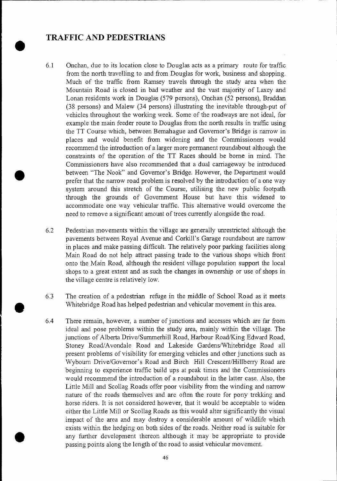# TRAFFIC AND PEDESTRIANS

- 6.1 Onchan, due to its location close to Douglas acts as a primary route for traffic from the north travelling to and from Douglas for work, business and shopping. Much of the traffic from Ramsey travels through the study area when the Mountain Road is closed in bad weather and the vast majority of Laxey and Lonan residents work in Douglas (579 persons), Onchan (52 persons), Braddan (38 persons) and Malew (34 persons) illustrating the inevitable through-put of vehicles throughout the working week. Some of the roadways are not ideal, for example the main feeder route to Douglas from the north results in traffic using the TT Course which, between Bemahague and Governor's Bridge is narrow in places and would benefit from widening and the Commissioners would recommend the introduction of a larger more permanent roundabout although the constraints of the operation of the TT Races should be borne in mind. The Commissioners have also recommended that a dual carriageway be introduced between "The Nook" and Governor's Bridge. However, the Department would prefer that the narrow road problem is resolved by the introduction of a one way system around this stretch of the Course, utilising the new public footpath through the grounds of Government House but have this widened to accommodate one way vehicular traffic. This alternative would overcome the need to remove a significant amount of trees currently alongside the road.
- 6.2 Pedestrian movements within the village are generally unrestricted although the pavements between Royal Avenue and Corkill's Garage roundabout are narrow in places and make passing difficult. The relatively poor parking facilities along Main Road do not help attract passing trade to the various shops which front onto the Main Road, although the resident village population support the local shops to a great extent and as such the changes in ownership or use of shops in the village centre is relatively low.
- 6.3 The creation of a pedestrian refuge in the middle of School Road as it meets Whitebridge Road has helped pedestrian and vehicular movement in this area.
- 6.4 There remain, however, a number of junctions and accesses which are far from ideal and pose problems within the study area, mainly within the village. The junctions of Alberta Drive/Summerhill Road, Harbour Road/King Edward Road, Stoney Road/Avondale Road and Lakeside Gardens/Whitebridge Road all present problems of visibility for emerging vehicles and other junctions such as Wybourn Drive/Governor's Road and Birch Hill Crescent/Hillberry Road are beginning to experience traffic build ups at peak times and the Commissioners would recommend the introduction of a roundabout in the latter case. Also, the Little Mill and Scollag Roads offer poor visibility from the winding and narrow nature of the roads themselves and are often the route for pony trekking and horse riders. It is not considered however, that it would be acceptable to widen either the Little Mill or Scollag Roads as this would alter significantly the visual impact of the area and may destroy a considerable amount of wildlife which exists within the hedging on both sides of the roads. Neither road is suitable for any further development thereon although it may be appropriate to provide passing points along the length of the road to assist vehicular movement.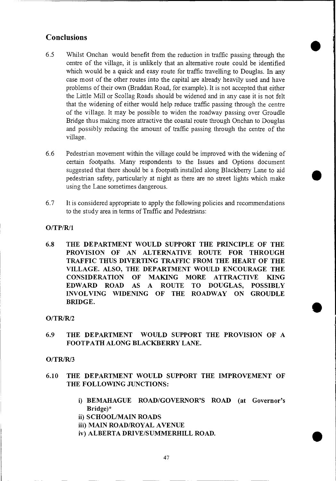# **Conclusions**

- 6.5 Whilst Onchan would benefit from the reduction in traffic passing through the centre of the village, it is unlikely that an alternative route could be identified which would be a quick and easy route for traffic travelling to Douglas. In any case most of the other routes into the capital are already heavily used and have problems of their own (Braddan Road, for example). It is not accepted that either the Little Mill or Scollag Roads should be widened and in any case it is not felt that the widening of either would help reduce traffic passing through the centre of the village. It may be possible to widen the roadway passing over Groudle Bridge thus making more attractive the coastal route through Onchan to Douglas and possibly reducing the amount of traffic passing through the centre of the village.
- 6.6 Pedestrian movement within the village could be improved with the widening of certain footpaths. Many respondents to the Issues and Options document suggested that there should be a footpath installed along Blackberry Lane to aid pedestrian safety, particularly at night as there are no street lights which make using the Lane sometimes dangerous.
- 6.7 It is considered appropriate to apply the following policies and recommendations to the study area in terms of Traffic and Pedestrians:

## **0/TP/R/1**

**6.8 THE DEPARTMENT WOULD SUPPORT THE PRINCIPLE OF THE PROVISION OF AN ALTERNATIVE ROUTE FOR THROUGH TRAFFIC THUS DIVERTING TRAFFIC FROM THE HEART OF THE VILLAGE. ALSO, THE DEPARTMENT WOULD ENCOURAGE THE CONSIDERATION OF MAKING MORE ATTRACTIVE KING EDWARD ROAD AS A ROUTE TO DOUGLAS, POSSIBLY INVOLVING WIDENING OF THE ROADWAY ON GROUDLE BRIDGE.** 

#### **0/TR/R/2**

**6.9 THE DEPARTMENT WOULD SUPPORT THE PROVISION OF A FOOTPATH ALONG BLACKBERRY LANE.** 

#### **0/TR/R/3**

- **6.10 THE DEPARTMENT WOULD SUPPORT THE IMPROVEMENT OF THE FOLLOWING JUNCTIONS:** 
	- **i) BEMAHAGUE ROAD/GOVERNOR'S ROAD (at Governor's Bridge)\***
	- **ii) SCHOOL/MAIN ROADS**
	- **iii) MAIN ROAD/ROYAL AVENUE**
	- **iv) ALBERTA DRIVE/SUMMERHILL ROAD.**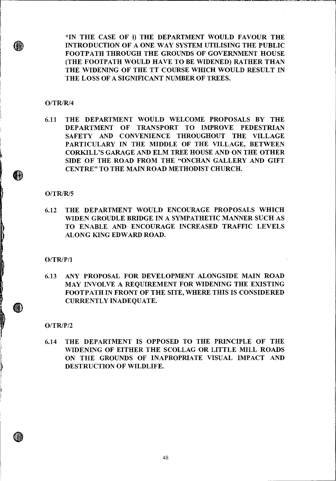\*IN THE CASE OF i) THE DEPARTMENT WOULD FAVOUR THE INTRODUCTION OF A ONE WAY SYSTEM UTILISING THE PUBLIC FOOTPATH THROUGH THE GROUNDS OF GOVERNMENT HOUSE (THE FOOTPATH WOULD HAVE TO BE WIDENED) RATHER THAN THE WIDENING OF THE TT COURSE WHICH WOULD RESULT IN THE LOSS OF A SIGNIFICANT NUMBER OF TREES.

#### 0/TR/R/4

6.11 THE DEPARTMENT WOULD WELCOME PROPOSALS BY THE DEPARTMENT OF TRANSPORT TO IMPROVE PEDESTRIAN SAFETY AND CONVENIENCE THROUGHOUT THE VILLAGE PARTICULARY IN THE MIDDLE OF THE VILLAGE, BETWEEN CORKILL'S GARAGE AND ELM TREE HOUSE AND ON THE OTHER SIDE OF THE ROAD FROM THE "ONCHAN GALLERY AND GIFT CENTRE" TO THE MAIN ROAD METHODIST CHURCH.

## 0/TR/R/5

6.12 THE DEPARTMENT WOULD ENCOURAGE PROPOSALS WHICH WIDEN GROUDLE BRIDGE IN A SYMPATHETIC MANNER SUCH AS TO ENABLE AND ENCOURAGE INCREASED TRAFFIC LEVELS ALONG KING EDWARD ROAD.

# 0/TR/P/1

6.13 ANY PROPOSAL FOR DEVELOPMENT ALONGSIDE MAIN ROAD MAY INVOLVE A REQUIREMENT FOR WIDENING THE EXISTING FOOTPATH IN FRONT OF THE SITE, WHERE THIS IS CONSIDERED CURRENTLY INADEQUATE.

#### 0/TR/P/2

6.14 THE DEPARTMENT IS OPPOSED TO THE PRINCIPLE OF THE WIDENING OF EITHER THE SCOLLAG OR LITTLE MILL ROADS ON THE GROUNDS OF INAPROPRIATE VISUAL IMPACT AND DESTRUCTION OF WILDLIFE.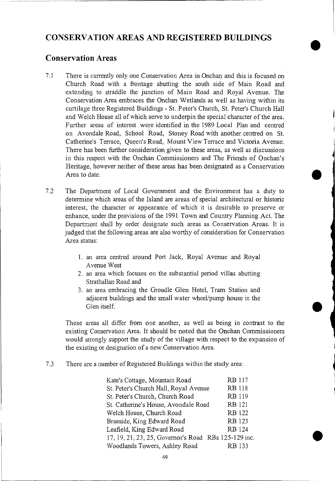# CONSERVATION AREAS AND REGISTERED BUILDINGS

# Conservation Areas

- 7.1 There is currently only one Conservation Area in Onchan and this is focused on Church Road with a frontage abutting the south side of Main Road and extending to straddle the junction of Main Road and Royal Avenue. The Conservation Area embraces the Onchan Wetlands as well as having within its curtilage three Registered Buildings - St. Peter's Church, St. Peter's Church Hall and Welch House all of which serve to underpin the special character of the area. Further areas of interest were identified in the 1989 Local Plan and centred on Avondale Road, School Road, Stoney Road with another centred on St. Catherine's Terrace, Queen's Road, Mount View Terrace and Victoria Avenue. There has been further consideration given to these areas, as well as discussions in this respect with the Onchan Commissioners and The Friends of Onchan's Heritage, however neither of these areas has been designated as a Conservation Area to date.
- 7.2 The Department of Local Government and the Environment has a duty to determine which areas of the Island are areas of special architectural or historic interest, the character or appearance of which it is desirable to preserve or enhance, under the provisions of the 1991 Town and Country Planning Act. The Department shall by order designate such areas as Conservation Areas. It is judged that the following areas are also worthy of consideration for Conservation Area status:
	- 1. an area centred around Port Jack, Royal Avenue and Royal Avenue West
	- 2. an area which focuses on the substantial period villas abutting Strathallan Road and
	- 3. an area embracing the Groudle Glen Hotel, Tram Station and adjacent buildings and the small water wheel/pump house in the Glen itself.

These areas all differ from one another, as well as being in contrast to the existing Conservation Area. It should be noted that the Onchan Commissioners would strongly support the study of the village with respect to the expansion of the existing or designation of a new Conservation Area.

7.3 There are a number of Registered Buildings within the study area:

| Kate's Cottage, Mountain Road                        | <b>RB</b> 117 |
|------------------------------------------------------|---------------|
| St. Peter's Church Hall, Royal Avenue                | <b>RB</b> 118 |
| St. Peter's Church, Church Road                      | <b>RB</b> 119 |
| St. Catherine's House, Avondale Road                 | <b>RB</b> 121 |
| Welch House, Church Road                             | <b>RB</b> 122 |
| Braeside, King Edward Road                           | <b>RB</b> 123 |
| Leafield, King Edward Road                           | <b>RB</b> 124 |
| 17, 19, 21, 23, 25, Governor's Road RBs 125-129 inc. |               |
| Woodlands Towers, Ashley Road                        | RB 133        |

•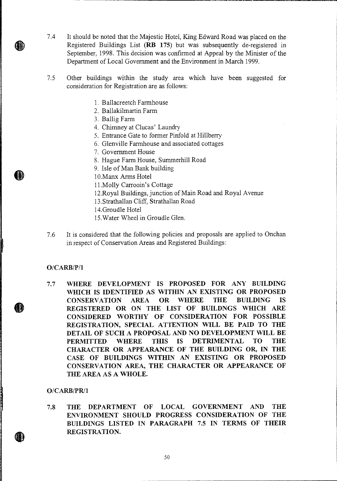7.4 It should be noted that the Majestic Hotel, King Edward Road was placed on the Registered Buildings List **(RB** 175) but was subsequently de-registered in September, 1998. This decision was confirmed at Appeal by the Minister of the Department of Local Government and the Environment in March 1999.

- 7.5 Other buildings within the study area which have been suggested for consideration for Registration are as follows:
	- 1. Ballacreetch Farmhouse
	- 2. Ballakilmartin Farm
	- 3. Ballig Farm
	- 4. Chimney at Clucas' Laundry
	- 5. Entrance Gate to former Pinfold at Hillberry
	- 6. Glenville Farmhouse and associated cottages
	- 7. Government House
	- 8. Hague Farm House, Summerhill Road
	- 9. Isle of Man Bank building
	- 10.Manx Arms Hotel
	- 11.Molly Carrooin's Cottage
	- 12.Royal Buildings, junction of Main Road and Royal Avenue
	- 13.Strathallan Cliff, Strathallan Road
	- 14.Groudle Hotel
	- 15.Water Wheel in Groudle Glen.
- 7.6 It is considered that the following policies and proposals are applied to Onchan in respect of Conservation Areas and Registered Buildings:

#### O/CARB/P/1

7.7 WHERE DEVELOPMENT IS PROPOSED FOR ANY BUILDING WHICH IS IDENTIFIED AS WITHIN AN EXISTING OR PROPOSED CONSERVATION AREA OR WHERE THE BUILDING IS REGISTERED OR ON THE LIST OF BUILDNGS WHICH ARE CONSIDERED WORTHY OF CONSIDERATION FOR POSSIBLE REGISTRATION, SPECIAL ATTENTION WILL BE PAID TO THE DETAIL OF SUCH A PROPOSAL AND NO DEVELOPMENT WILL BE PERMITTED WHERE THIS IS DETRIMENTAL TO THE CHARACTER OR APPEARANCE OF THE BUILDING OR, IN THE CASE OF BUILDINGS WITHIN AN EXISTING OR PROPOSED CONSERVATION AREA, THE CHARACTER OR APPEARANCE OF THE AREA AS A WHOLE.

#### 0/CARB/PR/1

7.8 THE DEPARTMENT OF LOCAL GOVERNMENT AND THE ENVIRONMENT SHOULD PROGRESS CONSIDERATION OF THE BUILDINGS LISTED IN PARAGRAPH 7.5 IN TERMS OF THEIR REGISTRATION.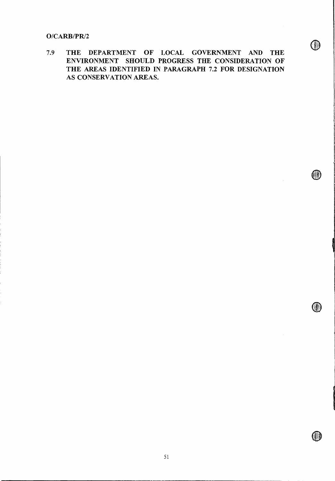## 0/CARB/PR/2

7.9 THE DEPARTMENT OF LOCAL GOVERNMENT AND THE ENVIRONMENT SHOULD PROGRESS THE CONSIDERATION OF THE AREAS IDENTIFIED IN PARAGRAPH 7.2 FOR DESIGNATION AS CONSERVATION AREAS.

 $(\| \$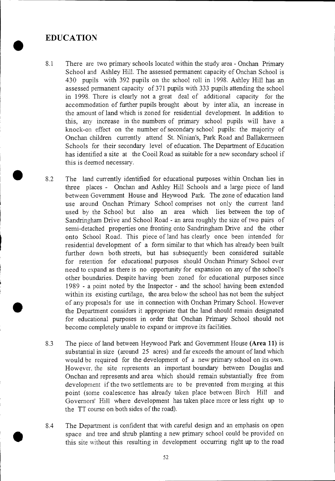# • EDUCATION

- 8.1 There are two primary schools located within the study area Onchan Primary School and Ashley Hill. The assessed permanent capacity of Onchan School is 430 pupils with 392 pupils on the school roll in 1998. Ashley Hill has an assessed permanent capacity of 371 pupils with 333 pupils attending the school in 1998. There is clearly not a great deal of additional capacity for the accommodation of further pupils brought about by inter alia, an increase in the amount of land which is zoned for residential development. In addition to this, any increase in the numbers of primary school pupils will have a knock-on effect on the number of secondary school pupils: the majority of Onchan children currently attend St. Ninian's, Park Road and Ballakermeen Schools for their secondary level of education. The Department of Education has identified a site at the Cooil Road as suitable for a new secondary school if this is deemed necessary.
- 8.2 The land currently identified for educational purposes within Onchan lies in three places - Onchan and Ashley Hill Schools and a large piece of land between Government House and Heywood Park. The zone of education land use around Onchan Primary School comprises not only the current land used by the School but also an area which lies between the top of Sandringham Drive and School Road - an area roughly the size of two pairs of semi-detached properties one fronting onto Sandringham Drive and the other onto School Road. This piece of land has clearly once been intended for residential development of a form similar to that which has already been built further down both streets, but has subsequently been considered suitable for retention for educational purposes should Onchan Primary School ever need to expand as there is no opportunity for expansion on any of the school's other boundaries. Despite having been zoned for educational purposes since 1989 - a point noted by the Inspector - and the school having been extended within its existing curtilage, the area below the school has not been the subject of any proposals for use in connection with Onchan Primary School. However the Department considers it appropriate that the land should remain designated for educational purposes in order that Onchan Primary School should not become completely unable to expand or improve its facilities.
- 8.3 The piece of land between Heywood Park and Government House (Area 11) is substantial in size (around 25 acres) and far exceeds the amount of land which would be required for the development of a new primary school on its own. However, the site represents an important boundary between Douglas and Onchan and represents and area which should remain substantially free from development if the two settlements are to be prevented from merging at this point (some coalescence has already taken place between Birch Hill and Governors' Hill where development has taken place more or less right up to the TT course on both sides of the road).
- 8.4 The Department is confident that with careful design and an emphasis on open space and tree and shrub planting a new primary school could be provided on this site without this resulting in development occurring right up to the road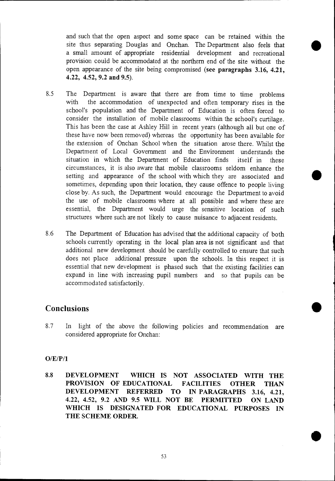and such that the open aspect and some space can be retained within the site thus separating Douglas and Onchan. The Department also feels that a small amount of appropriate residential development and recreational provision could be accommodated at the northern end of the site without the open appearance of the site being compromised (see paragraphs 3.16, 4.21, 4.22, 4.52, 9.2 and 9.5).

- 8.5 The Department is aware that there are from time to time problems with the accommodation of unexpected and often temporary rises in the school's population and the Department of Education is often forced to consider the installation of mobile classrooms within the school's curtilage. This has been the case at Ashley Hill in recent years (although all but one of these have now been removed) whereas the opportunity has been available for the extension of Onchan School when the situation arose there. Whilst the Department of Local Government and the Environment understands the situation in which the Department of Education finds itself in these circumstances, it is also aware that mobile classrooms seldom enhance the setting and appearance of the school with which they are associated and sometimes, depending upon their location, they cause offence to people living close by. As such, the Department would encourage the Department to avoid the use of mobile classrooms where at all possible and where these are essential, the Department would urge the sensitive location of such structures where such are not likely to cause nuisance to adjacent residents.
- 8.6 The Department of Education has advised that the additional capacity of both schools currently operating in the local plan area is not significant and that additional new development should be carefully controlled to ensure that such does not place additional pressure upon the schools. In this respect it is essential that new development is phased such that the existing facilities can expand in line with increasing pupil numbers and so that pupils can be accommodated satisfactorily.

# **Conclusions**

8.7 In light of the above the following policies and recommendation are considered appropriate for Onchan:

## 0/E/P/1

8.8 DEVELOPMENT WHICH IS NOT ASSOCIATED WITH THE PROVISION OF EDUCATIONAL FACILITIES OTHER THAN DEVELOPMENT REFERRED TO IN PARAGRAPHS 3.16, 4.21, 4.22, 4.52, 9.2 AND 9.5 WILL NOT BE PERMITTED ON LAND WHICH IS DESIGNATED FOR EDUCATIONAL PURPOSES IN THE SCHEME ORDER.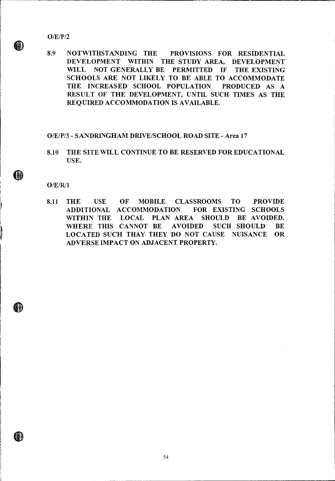$O/E/P/2$ 

8.9 NOTWITHSTANDING THE PROVISIONS FOR RESIDENTIAL DEVELOPMENT WITHIN THE STUDY AREA, DEVELOPMENT WILL NOT GENERALLY BE PERMITTED IF THE EXISTING SCHOOLS ARE NOT LIKELY TO BE ABLE TO ACCOMMODATE THE INCREASED SCHOOL POPULATION PRODUCED AS A RESULT OF THE DEVELOPMENT, UNTIL SUCH TIMES AS THE REQUIRED ACCOMMODATION IS AVAILABLE.

7

#### 0/E/P/3 - SANDRINGHAM DRIVE/SCHOOL ROAD SITE - Area 17

8.10 THE SITE WILL CONTINUE TO BE RESERVED FOR EDUCATIONAL USE.

0/E/R/1

8.11 THE USE OF MOBILE CLASSROOMS TO PROVIDE ADDITIONAL ACCOMMODATION FOR EXISTING SCHOOLS WITHIN THE LOCAL PLAN AREA SHOULD BE AVOIDED. WHERE THIS CANNOT BE AVOIDED SUCH SHOULD BE LOCATED SUCH THAY THEY DO NOT CAUSE NUISANCE OR ADVERSE IMPACT ON ADJACENT PROPERTY.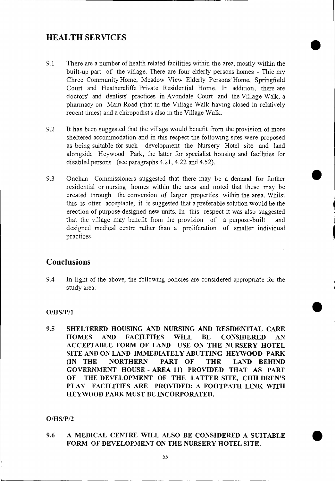# **HEALTH SERVICES**

- 9.1 There are a number of health related facilities within the area, mostly within the built-up part of the village. There are four elderly persons homes - Thie my Chree Community Home, Meadow View Elderly Persons' Home, Springfield Court and Heathercliffe Private Residential Home. In addition, there are doctors' and dentists' practices in Avondale Court and the Village Walk, a pharmacy on Main Road (that in the Village Walk having closed in relatively recent times) and a chiropodist's also in the Village Walk.
- 9.2 It has been suggested that the village would benefit from the provision of more sheltered accommodation and in this respect the following sites were proposed as being suitable for such development the Nursery Hotel site and land alongside Heywood Park, the latter for specialist housing and facilities for disabled persons (see paragraphs 4.21, 4.22 and 4.52).
- 9.3 Onchan Commissioners suggested that there may be a demand for further residential or nursing homes within the area and noted that these may be created through the conversion of larger properties within the area. Whilst this is often acceptable, it is suggested that a preferable solution would be the erection of purpose-designed new units. In this respect it was also suggested that the village may benefit from the provision of a purpose-built and designed medical centre rather than a proliferation of smaller individual practices.

# **Conclusions**

9.4 In light of the above, the following policies are considered appropriate for the study area:

•

## **0/HS/P/1**

**9.5 SHELTERED HOUSING AND NURSING AND RESIDENTIAL CARE HOMES AND FACILITIES WILL BE CONSIDERED AN ACCEPTABLE FORM OF LAND USE ON THE NURSERY HOTEL SITE AND ON LAND IMMEDIATELY ABUTTING HEYWOOD PARK (IN THE NORTHERN PART OF THE LAND BEHIND GOVERNMENT HOUSE - AREA 11) PROVIDED THAT AS PART OF THE DEVELOPMENT OF THE LATTER SITE, CHILDREN'S PLAY FACILITIES ARE PROVIDED: A FOOTPATH LINK WITH HEYWOOD PARK MUST BE INCORPORATED.** 

#### **0/HS/P/2**

**9.6 A MEDICAL CENTRE WILL ALSO BE CONSIDERED A SUITABLE FORM OF DEVELOPMENT ON THE NURSERY HOTEL SITE.**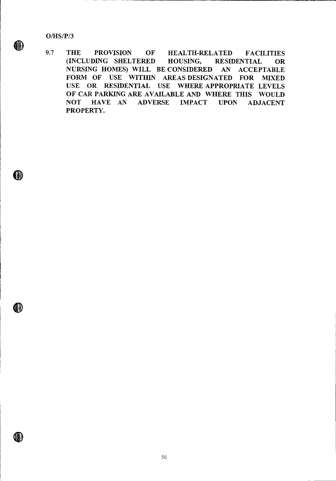## 0/HS/P/3

**IND** 

11

9.7 THE PROVISION OF HEALTH-RELATED FACILITIES (INCLUDING SHELTERED HOUSING, RESIDENTIAL OR NURSING HOMES) WILL BE CONSIDERED AN ACCEPTABLE FORM OF USE WITHIN AREAS DESIGNATED FOR MIXED USE OR RESIDENTIAL USE WHERE APPROPRIATE LEVELS OF CAR PARKING ARE AVAILABLE AND WHERE THIS WOULD NOT HAVE AN ADVERSE IMPACT UPON ADJACENT PROPERTY.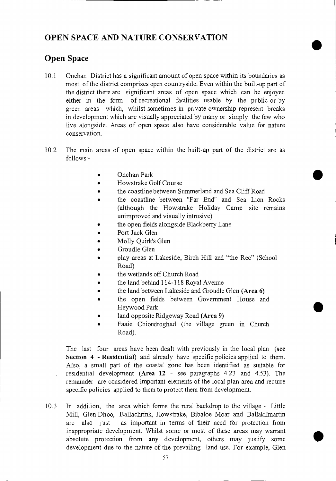# OPEN SPACE AND NATURE CONSERVATION

# Open Space

- 10.1 Onchan District has a significant amount of open space within its boundaries as most of the district comprises open countryside. Even within the built-up part of the district there are significant areas of open space which can be enjoyed either in the form of recreational facilities usable by the public or by green areas which, whilst sometimes in private ownership represent breaks in development which are visually appreciated by many or simply the few who live alongside. Areas of open space also have considerable value for nature conservation.
- 10.2 The main areas of open space within the built-up part of the district are as follows:-
	- Onchan Park
	- Howstrake Golf Course
	- the coastline between Summerland and Sea Cliff Road
	- the coastline between "Far End" and Sea Lion Rocks (although the Howstrake Holiday Camp site remains unimproved and visually intrusive)
	- the open fields alongside Blackberry Lane
	- Port Jack Glen
	- Molly Quirk's Glen
	- Groudle Glen
	- play areas at Lakeside, Birch Hill and "the Rec" (School Road)
	- the wetlands off Church Road
	- the land behind 114-118 Royal Avenue
	- the land between Lakeside and Groudle Glen (Area 6)
	- the open fields between Government House and Heywood Park
	- land opposite Ridgeway Road (Area 9)
	- Faaie Chiondroghad (the village green in Church Road).

The last four areas have been dealt with previously in the local plan (see Section 4 - Residential) and already have specific policies applied to them. Also, a small part of the coastal zone has been identified as suitable for residential development (Area 12 - see paragraphs 4.23 and 4.53). The remainder are considered important elements of the local plan area and require specific policies applied to them to protect them from development.

10.3 In addition, the area which forms the rural backdrop to the village - Little Mill, Glen Dhoo, Ballachrink, Howstrake, Bibaloe Moar and Ballakilmartin are also just as important in terms of their need for protection from inappropriate development. Whilst some or most of these areas may warrant absolute protection from any development, others may justify some development due to the nature of the prevailing land use. For example, Glen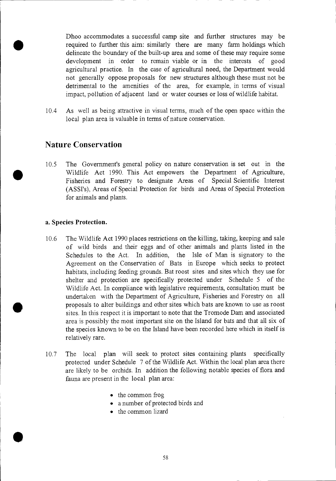Dhoo accommodates a successful camp site and further structures may be required to further this aim: similarly there are many farm holdings which delineate the boundary of the built-up area and some of these may require so required to further this aim: similarly there are many farm holdings which development in order to remain viable or in the interests of good agricultural practice. In the case of agricultural need, the Department would not generally oppose proposals for new structures although these must not be detrimental to the amenities of the area, for example, in terms of visual impact, pollution of adjacent land or water courses or loss of wildlife habitat.

> 10.4 As well as being attractive in visual terms, much of the open space within the local plan area is valuable in terms of nature conservation.

# **Nature Conservation**

10.5 The Government's general policy on nature conservation is set out in the Wildlife Act 1990. This Act empowers the Department of Agriculture, Fisheries and Forestry to designate Areas of Special Scientific Interest (ASSI's), Areas of Special Protection for birds and Areas of Special Protection for animals and plants.

# a. Species Protection.

 $\bullet$ 

- 10.6 The Wildlife Act 1990 places restrictions on the killing, taking, keeping and sale of wild birds and their eggs and of other animals and plants listed in the Schedules to the Act. In addition, the Isle of Man is signatory to the Agreement on the Conservation of Bats in Europe which seeks to protect habitats, including feeding grounds. Bat roost sites and sites which they use for shelter and protection are specifically protected under Schedule 5 of the Wildlife Act. In compliance with legislative requirements, consultation must be undertaken with the Department of Agriculture, Fisheries and Forestry on all proposals to alter buildings and other sites which bats are known to use as roost sites. In this respect it is important to note that the Tromode Dam and associated area is possibly the most important site on the Island for bats and that all six of the species known to be on the Island have been recorded here which in itself is relatively rare.
- 10.7 The local plan will seek to protect sites containing plants specifically protected under Schedule 7 of the Wildlife Act. Within the local plan area there are likely to be orchids. In addition the following notable species of flora and fauna are present in the local plan area:
	- the common frog
	- a number of protected birds and
	- the common lizard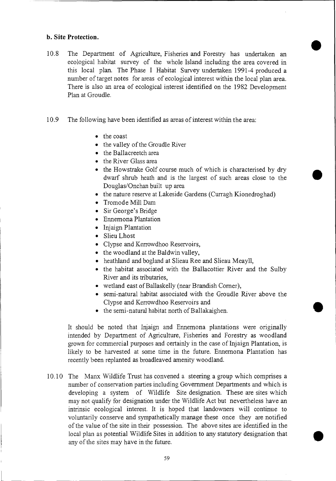#### b. Site Protection.

- 10.8 The Department of Agriculture, Fisheries and Forestry has undertaken an ecological habitat survey of the whole Island including the area covered in this local plan. The Phase I Habitat Survey undertaken 1991-4 produced a number of target notes for areas of ecological interest within the local plan area. There is also an area of ecological interest identified on the 1982 Development Plan at Groudle.
- 10.9 The following have been identified as areas of interest within the area:
	- the coast
	- the valley of the Groudle River
	- the Ballacreetch area
	- the River Glass area
	- the Howstrake Golf course much of which is characterised by dry dwarf shrub heath and is the largest of such areas close to the Douglas/Onchan built up area
	- the nature reserve at Lakeside Gardens (Curragh Kionedroghad)
	- Tromode Mill Dam
	- Sir George's Bridge
	- Ennemona Plantation
	- Injaign Plantation
	- Slieu Lhost
	- Clypse and Kerrowdhoo Reservoirs,
	- the woodland at the Baldwin valley,
	- heathland and bogland at Slieau Ree and Slieau Meayll,
	- the habitat associated with the Ballacottier River and the Sulby River and its tributaries,
	- wetland east of Ballaskelly (near Brandish Corner),
	- semi-natural habitat associated with the Groudle River above the Clypse and Kerrowdhoo Reservoirs and
	- the semi-natural habitat north of Ballakaighen.

It should be noted that Injaign and Ennemona plantations were originally intended by Department of Agriculture, Fisheries and Forestry as woodland grown for commercial purposes and certainly in the case of Injaign Plantation, is likely to be harvested at some time in the future. Ennemona Plantation has recently been replanted as broadleaved amenity woodland.

10.10 The Manx Wildlife Trust has convened a steering a group which comprises a number of conservation parties including Government Departments and which is developing a system of Wildlife Site designation. These are sites which may not qualify for designation under the Wildlife Act but nevertheless have an intrinsic ecological interest. It is hoped that landowners will continue to voluntarily conserve and sympathetically manage these once they are notified of the value of the site in their possession. The above sites are identified in the local plan as potential Wildlife Sites in addition to any statutory designation that any of the sites may have in the future.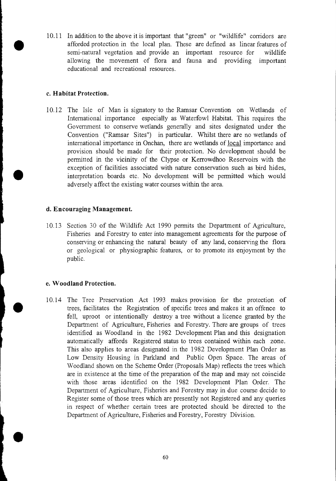10.11 In addition to the above it is important that "green" or "wildlife" corridors are afforded protection in the local plan. These are defined as linear features of semi-natural vegetation and provide an important resource for wildlife allowing the movement of flora and fauna and providing important educational and recreational resources.

## **c. Habitat Protection.**

10.12 The Isle of Man is signatory to the Ramsar Convention on Wetlands of International importance especially as Waterfowl Habitat. This requires the Government to conserve wetlands generally and sites designated under the Convention ("Ramsar Sites") in particular. Whilst there are no wetlands of international importance in Onchan, there are wetlands of local importance and provision should be made for their protection. No development should be permitted in the vicinity of the Clypse or Kerrowdhoo Reservoirs with the exception of facilities associated with nature conservation such as bird hides, interpretation boards etc. No development will be permitted which would adversely affect the existing water courses within the area.

# **d. Encouraging Management.**

10.13 Section 30 of the Wildlife Act 1990 permits the Department of Agriculture, Fisheries and Forestry to enter into management agreements for the purpose of conserving or enhancing the natural beauty of any land, conserving the flora or geological or physiographic features, or to promote its enjoyment by the public.

# **e. Woodland Protection.**

10.14 The Tree Preservation Act 1993 makes provision for the protection of trees, facilitates the Registration of specific trees and makes it an offence to fell, uproot or intentionally destroy a tree without a licence granted by the Department of Agriculture, Fisheries and Forestry. There are groups of trees identified as Woodland in the 1982 Development Plan and this designation automatically affords Registered status to trees contained within each zone. This also applies to areas designated in the 1982 Development Plan Order as Low Density Housing in Parkland and Public Open Space. The areas of Woodland shown on the Scheme Order (Proposals Map) reflects the trees which are in existence at the time of the preparation of the map and may not coincide with those areas identified on the 1982 Development Plan Order. The Department of Agriculture, Fisheries and Forestry may in due course decide to Register some of those trees which are presently not Registered and any queries in respect of whether certain trees are protected should be directed to the Department of Agriculture, Fisheries and Forestry, Forestry Division.